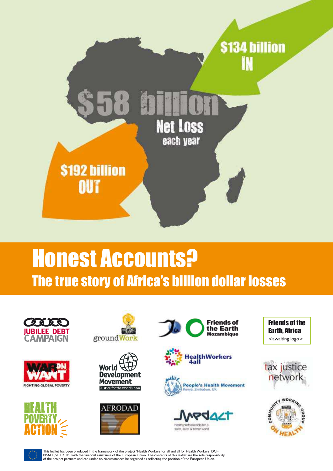

# Honest Accounts? The true story of Africa's billion dollar losses





























This leaflet has been produced in the framework of the project 'Health Workers for all and all for Health Workers' DCI-NSAED/2011/106, with the financial assistance of the European Union. The contents of this leaflet are the sole responsibility<br>of the project partners and can under no circumstances be regarded as reflecting the position of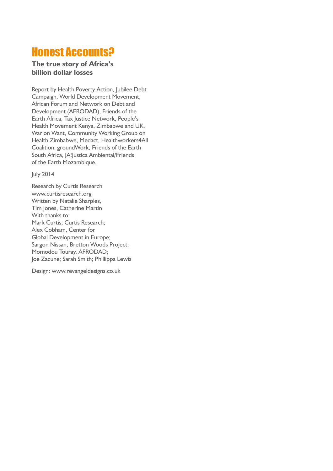# Honest Accounts?

#### **The true story of Africa's billion dollar losses**

Report by Health Poverty Action, Jubilee Debt Campaign, World Development Movement, African Forum and Network on Debt and Development (AFRODAD), Friends of the Earth Africa, Tax Justice Network, People's Health Movement Kenya, Zimbabwe and UK, War on Want, Community Working Group on Health Zimbabwe, Medact, Healthworkers4All Coalition, groundWork, Friends of the Earth South Africa, JA!Justica Ambiental/Friends of the Earth Mozambique.

July 2014

Research by Curtis Research www.curtisresearch.org Written by Natalie Sharples, Tim Jones, Catherine Martin With thanks to: Mark Curtis, Curtis Research; Alex Cobham, Center for Global Development in Europe; Sargon Nissan, Bretton Woods Project; Momodou Touray, AFRODAD; Joe Zacune; Sarah Smith; Phillippa Lewis

Design: www.revangeldesigns.co.uk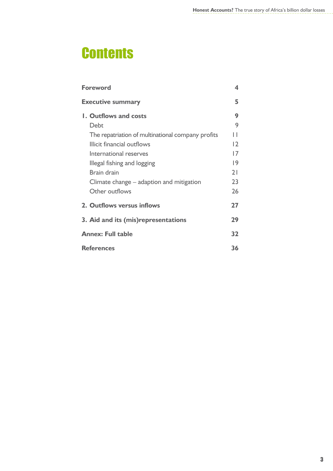# **Contents**

| <b>Foreword</b>                                   | 4              |
|---------------------------------------------------|----------------|
| <b>Executive summary</b>                          | 5              |
| <b>1. Outflows and costs</b>                      | 9              |
| Debt                                              | 9              |
| The repatriation of multinational company profits | Н              |
| Illicit financial outflows                        | $\overline{2}$ |
| International reserves                            | 17             |
| Illegal fishing and logging                       | 9              |
| <b>Brain drain</b>                                | 21             |
| Climate change – adaption and mitigation          | 23             |
| Other outflows                                    | 26             |
| 2. Outflows versus inflows                        | 27             |
| 3. Aid and its (mis) representations              | 29             |
| <b>Annex: Full table</b>                          | 32             |
| <b>References</b>                                 | 36             |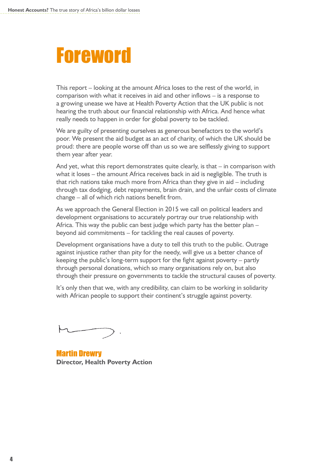# **Foreword**

This report – looking at the amount Africa loses to the rest of the world, in comparison with what it receives in aid and other inflows – is a response to a growing unease we have at Health Poverty Action that the UK public is not hearing the truth about our financial relationship with Africa. And hence what really needs to happen in order for global poverty to be tackled.

We are guilty of presenting ourselves as generous benefactors to the world's poor. We present the aid budget as an act of charity, of which the UK should be proud: there are people worse off than us so we are selflessly giving to support them year after year.

And yet, what this report demonstrates quite clearly, is that – in comparison with what it loses – the amount Africa receives back in aid is negligible. The truth is that rich nations take much more from Africa than they give in aid – including through tax dodging, debt repayments, brain drain, and the unfair costs of climate change – all of which rich nations benefit from.

As we approach the General Election in 2015 we call on political leaders and development organisations to accurately portray our true relationship with Africa. This way the public can best judge which party has the better plan – beyond aid commitments – for tackling the real causes of poverty.

Development organisations have a duty to tell this truth to the public. Outrage against injustice rather than pity for the needy, will give us a better chance of keeping the public's long-term support for the fight against poverty – partly through personal donations, which so many organisations rely on, but also through their pressure on governments to tackle the structural causes of poverty.

It's only then that we, with any credibility, can claim to be working in solidarity with African people to support their continent's struggle against poverty.

Martin Drewry **Director, Health Poverty Action**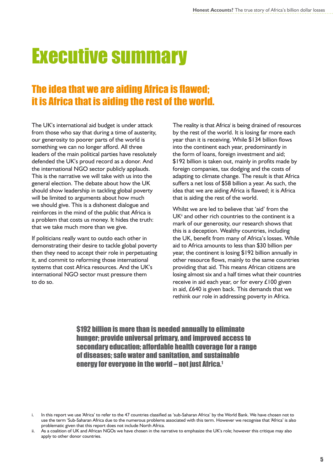# Executive summary

# The idea that we are aiding Africa is flawed; it is Africa that is aiding the rest of the world.

The UK's international aid budget is under attack from those who say that during a time of austerity, our generosity to poorer parts of the world is something we can no longer afford. All three leaders of the main political parties have resolutely defended the UK's proud record as a donor. And the international NGO sector publicly applauds. This is the narrative we will take with us into the general election. The debate about how the UK should show leadership in tackling global poverty will be limited to arguments about how much we should give. This is a dishonest dialogue and reinforces in the mind of the public that Africa is a problem that costs us money. It hides the truth: that we take much more than we give.

If politicians really want to outdo each other in demonstrating their desire to tackle global poverty then they need to accept their role in perpetuating it, and commit to reforming those international systems that cost Africa resources. And the UK's international NGO sector must pressure them to do so.

The reality is that Africa<sup>i</sup> is being drained of resources by the rest of the world. It is losing far more each year than it is receiving. While \$134 billion flows into the continent each year, predominantly in the form of loans, foreign investment and aid; \$192 billion is taken out, mainly in profits made by foreign companies, tax dodging and the costs of adapting to climate change. The result is that Africa suffers a net loss of \$58 billion a year. As such, the idea that we are aiding Africa is flawed; it is Africa that is aiding the rest of the world.

Whilst we are led to believe that 'aid' from the UK<sup>ii</sup> and other rich countries to the continent is a mark of our generosity, our research shows that this is a deception. Wealthy countries, including the UK, benefit from many of Africa's losses. While aid to Africa amounts to less than \$30 billion per year, the continent is losing \$192 billion annually in other resource flows, mainly to the same countries providing that aid. This means African citizens are losing almost six and a half times what their countries receive in aid each year, or for every  $£100$  given in aid, £640 is given back. This demands that we rethink our role in addressing poverty in Africa.

\$192 billion is more than is needed annually to eliminate hunger; provide universal primary, and improved access to secondary education; affordable health coverage for a range of diseases; safe water and sanitation, and sustainable energy for everyone in the world – not just Africa.<sup>1</sup>

i. In this report we use 'Africa' to refer to the 47 countries classified as 'sub-Saharan Africa' by the World Bank. We have chosen not to use the term 'Sub-Saharan Africa due to the numerous problems associated with this term. However we recognise that 'Africa' is also problematic given that this report does not include North Africa.

ii. As a coalition of UK and African NGOs we have chosen in the narrative to emphasize the UK's role; however this critique may also apply to other donor countries.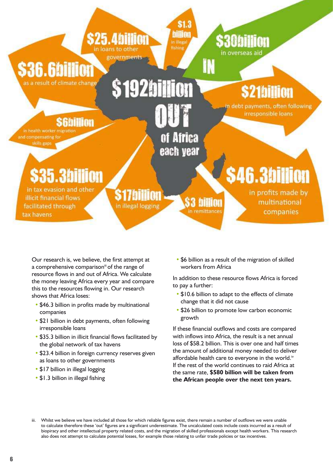

Our research is, we believe, the first attempt at a comprehensive comparison<sup>ii</sup> of the range of resource flows in and out of Africa. We calculate the money leaving Africa every year and compare this to the resources flowing in. Our research shows that Africa loses:

- \$46.3 billion in profits made by multinational companies
- **\$21 billion in debt payments, often following** irresponsible loans
- **•** \$35.3 billion in illicit financial flows facilitated by the global network of tax havens
- \$23.4 billion in foreign currency reserves given as loans to other governments
- **•** \$17 billion in illegal logging
- **•** \$1.3 billion in illegal fishing

**•** \$6 billion as a result of the migration of skilled workers from Africa

In addition to these resource flows Africa is forced to pay a further:

- \$10.6 billion to adapt to the effects of climate change that it did not cause
- \$26 billion to promote low carbon economic growth

If these financial outflows and costs are compared with inflows into Africa, the result is a net annual loss of \$58.2 billion. This is over one and half times the amount of additional money needed to deliver affordable health care to everyone in the world.<sup>iv</sup> If the rest of the world continues to raid Africa at the same rate, **\$580 billion will be taken from the African people over the next ten years.**

iii. Whilst we believe we have included all those for which reliable figures exist, there remain a number of outflows we were unable to calculate therefore these 'out' figures are a significant underestimate. The uncalculated costs include costs incurred as a result of biopiracy and other intellectual property related costs, and the migration of skilled professionals except health workers. This research also does not attempt to calculate potential losses, for example those relating to unfair trade policies or tax incentives.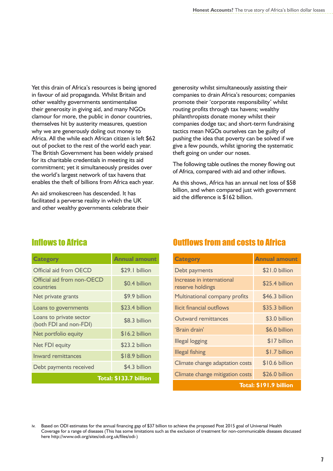Yet this drain of Africa's resources is being ignored in favour of aid propaganda. Whilst Britain and other wealthy governments sentimentalise their generosity in giving aid, and many NGOs clamour for more, the public in donor countries, themselves hit by austerity measures, question why we are generously doling out money to Africa. All the while each African citizen is left \$62 out of pocket to the rest of the world each year. The British Government has been widely praised for its charitable credentials in meeting its aid commitment; yet it simultaneously presides over the world's largest network of tax havens that enables the theft of billions from Africa each year.

An aid smokescreen has descended. It has facilitated a perverse reality in which the UK and other wealthy governments celebrate their

generosity whilst simultaneously assisting their companies to drain Africa's resources; companies promote their 'corporate responsibility' whilst routing profits through tax havens; wealthy philanthropists donate money whilst their companies dodge tax; and short-term fundraising tactics mean NGOs ourselves can be guilty of pushing the idea that poverty can be solved if we give a few pounds, whilst ignoring the systematic theft going on under our noses.

The following table outlines the money flowing out of Africa, compared with aid and other inflows.

As this shows, Africa has an annual net loss of \$58 billion, and when compared just with government aid the difference is \$162 billion.

#### **Inflows to Africa**

| <b>Category</b>                                   | <b>Annual amount</b>   |
|---------------------------------------------------|------------------------|
| Official aid from OECD                            | \$29.1 billion         |
| Official aid from non-OECD<br>countries           | \$0.4 billion          |
| Net private grants                                | \$9.9 billion          |
| Loans to governments                              | \$23.4 billion         |
| Loans to private sector<br>(both FDI and non-FDI) | \$8.3 billion          |
| Net portfolio equity                              | \$16.2 billion         |
| Net FDI equity                                    | \$23.2 billion         |
| <b>Inward remittances</b>                         | \$18.9 billion         |
| Debt payments received                            | \$4.3 billion          |
|                                                   | Total: \$133.7 billion |

### **Outflows from and costs to Africa**

| <b>Category</b>                               | <b>Annual amount</b>   |
|-----------------------------------------------|------------------------|
| Debt payments                                 | \$21.0 billion         |
| Increase in international<br>reserve holdings | \$25.4 billion         |
| Multinational company profits                 | \$46.3 billion         |
| llicit financial outflows                     | \$35.3 billion         |
| Outward remittances                           | \$3.0 billion          |
| 'Brain drain'                                 | \$6.0 billion          |
| <b>Illegal logging</b>                        | \$17 billion           |
| <b>Illegal fishing</b>                        | \$1.7 billion          |
| Climate change adaptation costs               | \$10.6 billion         |
| Climate change mitigation costs               | \$26.0 billion         |
|                                               | Total: \$191.9 billion |

iv. Based on ODI estimates for the annual financing gap of \$37 billion to achieve the proposed Post 2015 goal of Universal Health Coverage for a range of diseases (This has some limitations such as the exclusion of treatment for non-communicable diseases discussed here [http://www.odi.org/sites/odi.org.uk/files/odi-\)](http://www.odi.org/sites/odi.org.uk/files/odi-)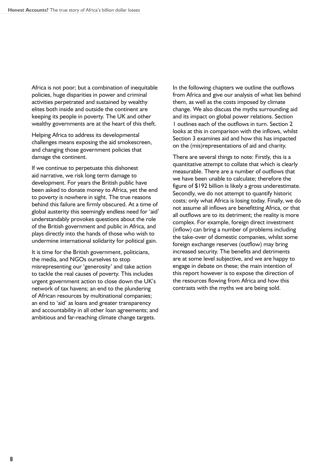Africa is not poor; but a combination of inequitable policies, huge disparities in power and criminal activities perpetrated and sustained by wealthy elites both inside and outside the continent are keeping its people in poverty. The UK and other wealthy governments are at the heart of this theft.

Helping Africa to address its developmental challenges means exposing the aid smokescreen, and changing those government policies that damage the continent.

If we continue to perpetuate this dishonest aid narrative, we risk long term damage to development. For years the British public have been asked to donate money to Africa, yet the end to poverty is nowhere in sight. The true reasons behind this failure are firmly obscured. At a time of global austerity this seemingly endless need for 'aid' understandably provokes questions about the role of the British government and public in Africa, and plays directly into the hands of those who wish to undermine international solidarity for political gain.

It is time for the British government, politicians, the media, and NGOs ourselves to stop misrepresenting our 'generosity' and take action to tackle the real causes of poverty. This includes urgent government action to close down the UK's network of tax havens; an end to the plundering of African resources by multinational companies; an end to 'aid' as loans and greater transparency and accountability in all other loan agreements; and ambitious and far-reaching climate change targets.

In the following chapters we outline the outflows from Africa and give our analysis of what lies behind them, as well as the costs imposed by climate change. We also discuss the myths surrounding aid and its impact on global power relations. Section 1 outlines each of the outflows in turn. Section 2 looks at this in comparison with the inflows, whilst Section 3 examines aid and how this has impacted on the (mis)representations of aid and charity.

There are several things to note: Firstly, this is a quantitative attempt to collate that which is clearly measurable. There are a number of outflows that we have been unable to calculate; therefore the figure of \$192 billion is likely a gross underestimate. Secondly, we do not attempt to quantify historic costs; only what Africa is losing today. Finally, we do not assume all inflows are benefitting Africa, or that all outflows are to its detriment; the reality is more complex. For example, foreign direct investment (inflow) can bring a number of problems including the take-over of domestic companies, whilst some foreign exchange reserves (outflow) may bring increased security. The benefits and detriments are at some level subjective, and we are happy to engage in debate on these; the main intention of this report however is to expose the direction of the resources flowing from Africa and how this contrasts with the myths we are being sold.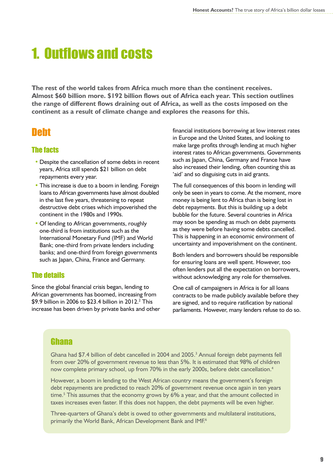# **1. Outflows and costs**

**The rest of the world takes from Africa much more than the continent receives. Almost \$60 billion more. \$192 billion flows out of Africa each year. This section outlines the range of different flows draining out of Africa, as well as the costs imposed on the continent as a result of climate change and explores the reasons for this.**

# **Neht**

#### The facts

- **•** Despite the cancellation of some debts in recent years, Africa still spends \$21 billion on debt repayments every year.
- **•** This increase is due to a boom in lending. Foreign loans to African governments have almost doubled in the last five years, threatening to repeat destructive debt crises which impoverished the continent in the 1980s and 1990s.
- Of lending to African governments, roughly one-third is from institutions such as the International Monetary Fund (IMF) and World Bank; one-third from private lenders including banks; and one-third from foreign governments such as Japan, China, France and Germany.

#### The details

Since the global financial crisis began, lending to African governments has boomed, increasing from \$9.9 billion in 2006 to \$23.4 billion in 2012.<sup>2</sup> This increase has been driven by private banks and other

financial institutions borrowing at low interest rates in Europe and the United States, and looking to make large profits through lending at much higher interest rates to African governments. Governments such as Japan, China, Germany and France have also increased their lending, often counting this as 'aid' and so disguising cuts in aid grants.

The full consequences of this boom in lending will only be seen in years to come. At the moment, more money is being lent to Africa than is being lost in debt repayments. But this is building up a debt bubble for the future. Several countries in Africa may soon be spending as much on debt payments as they were before having some debts cancelled. This is happening in an economic environment of uncertainty and impoverishment on the continent.

Both lenders and borrowers should be responsible for ensuring loans are well spent. However, too often lenders put all the expectation on borrowers, without acknowledging any role for themselves.

One call of campaigners in Africa is for all loans contracts to be made publicly available before they are signed, and to require ratification by national parliaments. However, many lenders refuse to do so.

#### Ghana

Ghana had \$7.4 billion of debt cancelled in 2004 and 2005.<sup>3</sup> Annual foreign debt payments fell from over 20% of government revenue to less than 5%. It is estimated that 98% of children now complete primary school, up from 70% in the early 2000s, before debt cancellation.<sup>4</sup>

However, a boom in lending to the West African country means the government's foreign debt repayments are predicted to reach 20% of government revenue once again in ten years time.<sup>5</sup> This assumes that the economy grows by 6% a year, and that the amount collected in taxes increases even faster. If this does not happen, the debt payments will be even higher.

Three-quarters of Ghana's debt is owed to other governments and multilateral institutions, primarily the World Bank, African Development Bank and IMF.<sup>6</sup>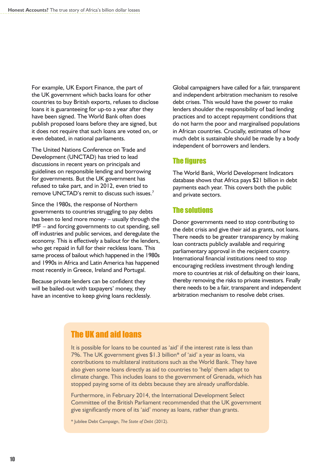For example, UK Export Finance, the part of the UK government which backs loans for other countries to buy British exports, refuses to disclose loans it is guaranteeing for up-to a year after they have been signed. The World Bank often does publish proposed loans before they are signed, but it does not require that such loans are voted on, or even debated, in national parliaments.

The United Nations Conference on Trade and Development (UNCTAD) has tried to lead discussions in recent years on principals and guidelines on responsible lending and borrowing for governments. But the UK government has refused to take part, and in 2012, even tried to remove UNCTAD's remit to discuss such issues.<sup>7</sup>

Since the 1980s, the response of Northern governments to countries struggling to pay debts has been to lend more money – usually through the IMF – and forcing governments to cut spending, sell off industries and public services, and deregulate the economy. This is effectively a bailout for the lenders, who get repaid in full for their reckless loans. This same process of bailout which happened in the 1980s and 1990s in Africa and Latin America has happened most recently in Greece, Ireland and Portugal.

Because private lenders can be confident they will be bailed-out with taxpayers' money, they have an incentive to keep giving loans recklessly. Global campaigners have called for a fair, transparent and independent arbitration mechanism to resolve debt crises. This would have the power to make lenders shoulder the responsibility of bad lending practices and to accept repayment conditions that do not harm the poor and marginalised populations in African countries. Crucially, estimates of how much debt is sustainable should be made by a body independent of borrowers and lenders.

#### **The figures**

The World Bank, World Development Indicators database shows that Africa pays \$21 billion in debt payments each year. This covers both the public and private sectors.

#### The solutions

Donor governments need to stop contributing to the debt crisis and give their aid as grants, not loans. There needs to be greater transparency by making loan contracts publicly available and requiring parliamentary approval in the recipient country. International financial institutions need to stop encouraging reckless investment through lending more to countries at risk of defaulting on their loans, thereby removing the risks to private investors. Finally there needs to be a fair, transparent and independent arbitration mechanism to resolve debt crises.

#### The UK and aid loans

It is possible for loans to be counted as 'aid' if the interest rate is less than 7%. The UK government gives \$1.3 billion\* of 'aid' a year as loans, via contributions to multilateral institutions such as the World Bank. They have also given some loans directly as aid to countries to 'help' them adapt to climate change. This includes loans to the government of Grenada, which has stopped paying some of its debts because they are already unaffordable.

Furthermore, in February 2014, the International Development Select Committee of the British Parliament recommended that the UK government give significantly more of its 'aid' money as loans, rather than grants.

\* Jubilee Debt Campaign, *The State of Debt* (2012).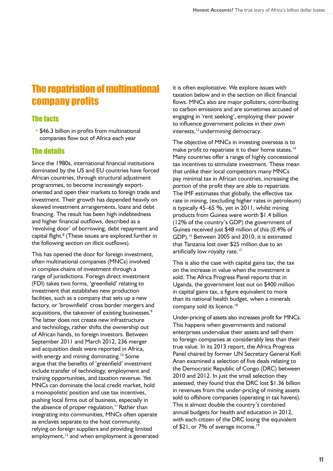# The repatriation of multinational company profits

#### The facts

• \$46.3 billion in profits from multinational companies flow out of Africa each year

#### The details

Since the 1980s, international financial institutions dominated by the US and EU countries have forced African countries, through structural adjustment programmes, to become increasingly exportoriented and open their markets to foreign trade and investment. Their growth has depended heavily on skewed investment arrangements, loans and debt financing. The result has been high indebtedness and higher financial outflows, described as a 'revolving door' of borrowing, debt repayment and capital flight.<sup>8</sup> (These issues are explored further in the following section on illicit outflows).

This has opened the door for foreign investment, often multinational companies (MNCs) involved in complex chains of investment through a range of jurisdictions. Foreign direct investment (FDI) takes two forms, 'greenfield' relating to investment that establishes new production facilities, such as a company that sets up a new factory, or 'brownfield' cross border mergers and acquisitions, the takeover of existing businesses.<sup>9</sup> The latter does not create new infrastructure and technology, rather shifts the ownership out of African hands, to foreign investors. Between September 2011 and March 2012, 236 merger and acquisition deals were reported in Africa, with energy and mining dominating.<sup>10</sup> Some argue that the benefits of 'greenfield' investment include transfer of technology, employment and training opportunities, and taxation revenue. Yet MNCs can dominate the local credit market, hold a monopolistic position and use tax incentives, pushing local firms out of business, especially in the absence of proper regulation.<sup>11</sup> Rather than integrating into communities, MNCs often operate as enclaves separate to the host community, relying on foreign suppliers and providing limited employment,<sup>12</sup> and when employment is generated it is often exploitative. We explore issues with taxation below and in the section on illicit financial flows. MNCs also are major polluters, contributing to carbon emissions and are sometimes accused of engaging in 'rent seeking', employing their power to influence government policies in their own interests,<sup>13</sup> undermining democracy.

The objective of MNCs in investing overseas is to make profit to repatriate it to their home states.<sup>14</sup> Many countries offer a range of highly concessional tax incentives to stimulate investment. These mean that unlike their local competitors many MNCs pay minimal tax in African countries, increasing the portion of the profit they are able to repatriate. The IMF estimates that globally, the effective tax rate in mining, (excluding higher rates in petroleum) is typically 45–65 %, yet in 2011, whilst mining products from Guinea were worth \$1.4 billion (12% of the country's GDP) the government of Guinea received just \$48 million of this (0.4% of GDP).<sup>15</sup> Between 2005 and 2010, it is estimated that Tanzania lost over \$25 million due to an artificially low royalty rate.<sup>17</sup>

This is also the case with capital gains tax, the tax on the increase in value when the investment is sold. The Africa Progress Panel reports that in Uganda, the government lost out on \$400 million in capital gains tax, a figure equivalent to more than its national health budget, when a minerals company sold its licence.<sup>18</sup>

Under-pricing of assets also increases profit for MNCs. This happens when governments and national enterprises undervalue their assets and sell them to foreign companies at considerably less than their true value. In its 2013 report, the Africa Progress Panel chaired by former UN Secretary General Kofi Anan examined a selection of five deals relating to the Democratic Republic of Congo (DRC) between 2010 and 2012. In just the small selection they assessed, they found that the DRC lost \$1.36 billion in revenues from the under-pricing of mining assets sold to offshore companies (operating in tax havens). This is almost double the country's combined annual budgets for health and education in 2012, with each citizen of the DRC losing the equivalent of \$21, or 7% of average income.<sup>19</sup>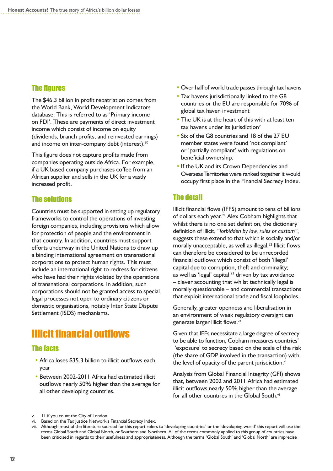#### **The figures**

The \$46.3 billion in profit repatriation comes from the World Bank, World Development Indicators database. This is referred to as 'Primary income on FDI'. These are payments of direct investment income which consist of income on equity (dividends, branch profits, and reinvested earnings) and income on inter-company debt (interest).<sup>20</sup>

This figure does not capture profits made from companies operating outside Africa. For example, if a UK based company purchases coffee from an African supplier and sells in the UK for a vastly increased profit.

#### The solutions

Countries must be supported in setting up regulatory frameworks to control the operations of investing foreign companies, including provisions which allow for protection of people and the environment in that country. In addition, countries must support efforts underway in the United Nations to draw up a binding international agreement on transnational corporations to protect human rights. This must include an international right to redress for citizens who have had their rights violated by the operations of transnational corporations. In addition, such corporations should not be granted access to special legal processes not open to ordinary citizens or domestic organisations, notably Inter State Dispute Settlement (ISDS) mechanisms.

## **Illicit financial outflows**

#### The facts

- Africa loses \$35.3 billion to illicit outflows each year
- **•** Between 2002-2011 Africa had estimated illicit outflows nearly 50% higher than the average for all other developing countries.
- **•** Over half of world trade passes through tax havens
- **Tax havens jurisdictionally linked to the G8** countries or the EU are responsible for 70% of global tax haven investment
- **•** The UK is at the heart of this with at least ten tax havens under its jurisdiction<sup>v</sup>
- **•** Six of the G8 countries and 18 of the 27 EU member states were found 'not compliant' or 'partially compliant' with regulations on beneficial ownership.
- **•** If the UK and its Crown Dependencies and Overseas Territories were ranked together it would occupy first place in the Financial Secrecy Index.

#### The detail

Illicit financial flows (IFFS) amount to tens of billions of dollars each year.<sup>21</sup> Alex Cobham highlights that whilst there is no one set definition, the dictionary definition of illicit, *"forbidden by law, rules or custom"*, suggests these extend to that which is socially and/or morally unacceptable, as well as illegal.<sup>22</sup> Illicit flows can therefore be considered to be unrecorded financial outflows which consist of both 'illegal' capital due to corruption, theft and criminality; as well as 'legal' capital  $^{23}$  driven by tax avoidance – clever accounting that whilst technically legal is morally questionable – and commercial transactions that exploit international trade and fiscal loopholes.

Generally, greater openness and liberalisation in an environment of weak regulatory oversight can generate larger illicit flows.<sup>24</sup>

Given that IFFs necessitate a large degree of secrecy to be able to function, Cobham measures countries' 'exposure' to secrecy based on the scale of the risk (the share of GDP involved in the transaction) with the level of opacity of the parent jurisdiction.<sup>vi</sup>

Analysis from Global Financial Integrity (GFI) shows that, between 2002 and 2011 Africa had estimated illicit outflows nearly 50% higher than the average for all other countries in the Global South.<sup>vii</sup>

v. 11 if you count the City of London

vi. Based on the Tax Justice Network's Financial Secrecy Index.

vii. Although most of the literature sourced for this report refers to 'developing countries' or the 'developing world' this report will use the terms Global South and Global North, or Southern and Northern. All of the terms commonly applied to this group of countries have been criticised in regards to their usefulness and appropriateness. Although the terms 'Global South' and 'Global North' are imprecise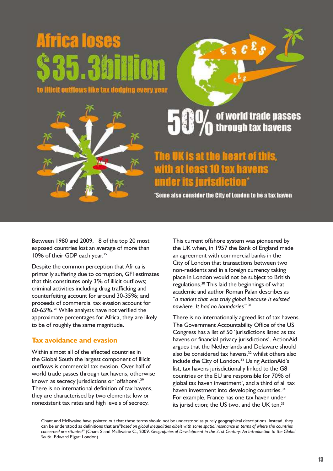**Illicit outflows like tax dodging every year** 



# of world trade passes<br>through tax havens

# is at the heart of this, east 10 tax **Tristilet**

'Some also consider the City of London to be a tax haven

Between 1980 and 2009, 18 of the top 20 most exposed countries lost an average of more than 10% of their GDP each year.<sup>25</sup>

Despite the common perception that Africa is primarily suffering due to corruption, GFI estimates that this constitutes only 3% of illicit outflows; criminal activities including drug trafficking and counterfeiting account for around 30-35%; and proceeds of commercial tax evasion account for 60-65%.<sup>28</sup> While analysts have not verified the approximate percentages for Africa, they are likely to be of roughly the same magnitude.

#### **Tax avoidance and evasion**

Within almost all of the affected countries in the Global South the largest component of illicit outflows is commercial tax evasion. Over half of world trade passes through tax havens, otherwise known as secrecy jurisdictions or 'offshore'.<sup>29</sup> There is no international definition of tax havens, they are characterised by two elements: low or nonexistent tax rates and high levels of secrecy.

This current offshore system was pioneered by the UK when, in 1957 the Bank of England made an agreement with commercial banks in the City of London that transactions between two non-residents and in a foreign currency taking place in London would not be subject to British regulations.<sup>30</sup> This laid the beginnings of what academic and author Roman Palan describes as *"a market that was truly global because it existed nowhere. It had no boundaries".*<sup>31</sup>

There is no internationally agreed list of tax havens. The Government Accountability Office of the US Congress has a list of 50 'jurisdictions listed as tax havens or financial privacy jurisdictions'. ActionAid argues that the Netherlands and Delaware should also be considered tax havens, $32$  whilst others also include the City of London.<sup>33</sup> Using ActionAid's list, tax havens jurisdictionally linked to the G8 countries or the EU are responsible for 70% of global tax haven investment', and a third of all tax haven investment into developing countries.<sup>34</sup> For example, France has one tax haven under its jurisdiction; the US two, and the UK ten.<sup>35</sup>

Chant and McIlwaine have pointed out that these terms should not be understood as purely geographical descriptions. Instead, they can be understood as definitions that are"*based on global inequalities albeit with some spatial resonance in terms of where the countries concerned are situated"* (Chant S and McIlwaine C., 2009. *Geographies of Development in the 21st Century: An Introduction to the Global South.* Edward Elgar: London)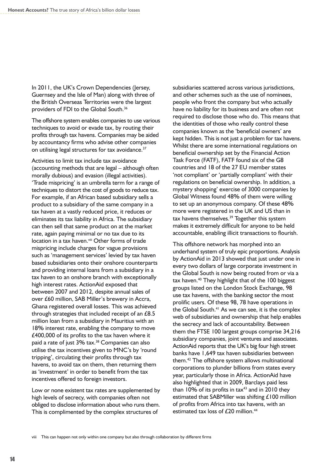In 2011, the UK's Crown Dependencies (Jersey, Guernsey and the Isle of Man) along with three of the British Overseas Territories were the largest providers of FDI to the Global South.<sup>36</sup>

The offshore system enables companies to use various techniques to avoid or evade tax, by routing their profits through tax havens. Companies may be aided by accountancy firms who advise other companies on utilising legal structures for tax avoidance.<sup>37</sup>

Activities to limit tax include tax avoidance (accounting methods that are legal – although often morally dubious) and evasion (illegal activities). 'Trade mispricing' is an umbrella term for a range of techniques to distort the cost of goods to reduce tax. For example, if an African based subsidiary sells a product to a subsidiary of the same company in a tax haven at a vastly reduced price, it reduces or eliminates its tax liability in Africa. The subsidiary can then sell that same product on at the market rate, again paying minimal or no tax due to its location in a tax haven.<sup>viii</sup> Other forms of trade mispricing include charges for vague provisions such as 'management services' levied by tax haven based subsidiaries onto their onshore counterparts and providing internal loans from a subsidiary in a tax haven to an onshore branch with exceptionally high interest rates. ActionAid exposed that between 2007 and 2012, despite annual sales of over £60 million, SAB Miller's brewery in Accra, Ghana registered overall losses. This was achieved through strategies that included receipt of an £8.5 million loan from a subsidiary in Mauritius with an 18% interest rate, enabling the company to move £400,000 of its profits to the tax haven where it paid a rate of just 3% tax.<sup>38</sup> Companies can also utilise the tax incentives given to MNC's by 'round tripping', circulating their profits through tax havens, to avoid tax on them, then returning them as 'investment' in order to benefit from the tax incentives offered to foreign investors.

Low or none existent tax rates are supplemented by high levels of secrecy, with companies often not obliged to disclose information about who runs them. This is complimented by the complex structures of

subsidiaries scattered across various jurisdictions, and other schemes such as the use of nominees, people who front the company but who actually have no liability for its business and are often not required to disclose those who do. This means that the identities of those who really control these companies known as the 'beneficial owners' are kept hidden. This is not just a problem for tax havens. Whilst there are some international regulations on beneficial ownership set by the Financial Action Task Force (FATF), FATF found six of the G8 countries and 18 of the 27 EU member states 'not compliant' or 'partially compliant' with their regulations on beneficial ownership. In addition, a mystery shopping' exercise of 3000 companies by Global Witness found 48% of them were willing to set up an anonymous company. Of these 48% more were registered in the UK and US than in tax havens themselves.<sup>39</sup> Together this system makes it extremely difficult for anyone to be held accountable, enabling illicit transactions to flourish.

This offshore network has morphed into an underhand system of truly epic proportions. Analysis by ActionAid in 2013 showed that just under one in every two dollars of large corporate investment in the Global South is now being routed from or via a tax haven.<sup>40</sup> They highlight that of the 100 biggest groups listed on the London Stock Exchange, 98 use tax havens, with the banking sector the most prolific users. Of these 98, 78 have operations in the Global South.<sup>41</sup> As we can see, it is the complex web of subsidiaries and ownership that help enables the secrecy and lack of accountability. Between them the FTSE 100 largest groups comprise 34,216 subsidiary companies, joint ventures and associates. ActionAid reports that the UK's big four high street banks have 1,649 tax haven subsidiaries between them.<sup>42</sup> The offshore system allows multinational corporations to plunder billions from states every year, particularly those in Africa. ActionAid have also highlighted that in 2009, Barclays paid less than  $10\%$  of its profits in tax<sup>43</sup> and in 2010 they estimated that SABMiller was shifting £100 million of profits from Africa into tax havens, with an estimated tax loss of  $£20$  million.<sup>44</sup>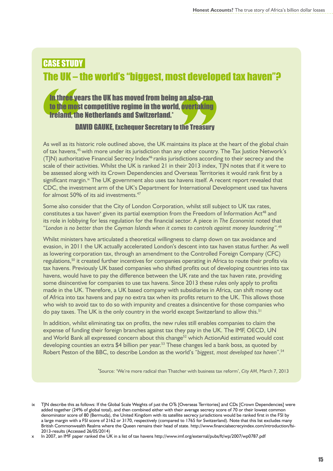# CASE STUDy The UK – the world's "biggest, most developed tax haven"?

#### In three years the UK has moved from being an also-ran to the most competitive regime in the world, overtaking Ireland, the Netherlands and Switzerland.\*

#### DAVID GAUKE, Exchequer Secretary to the Treasury

As well as its historic role outlined above, the UK maintains its place at the heart of the global chain of tax havens,<sup>45</sup> with more under its jurisdiction than any other country. The Tax Justice Network's  $(T|N)$  authoritative Financial Secrecy Index<sup>46</sup> ranks jurisdictions according to their secrecy and the scale of their activities. Whilst the UK is ranked 21 in their 2013 index, TJN notes that if it were to be assessed along with its Crown Dependencies and Overseas Territories it would rank first by a significant margin. $\frac{1}{N}$  The UK government also uses tax havens itself. A recent report revealed that CDC, the investment arm of the UK's Department for International Development used tax havens for almost 50% of its aid investments.<sup>47</sup>

Some also consider that the City of London Corporation, whilst still subject to UK tax rates, constitutes a tax haven<sup>x</sup> given its partial exemption from the Freedom of Information Act<sup>48</sup> and its role in lobbying for less regulation for the financial sector. A piece in *The Economist* noted that "*London is no better than the Cayman Islands when it comes to controls against money laundering".*<sup>49</sup>

Whilst ministers have articulated a theoretical willingness to clamp down on tax avoidance and evasion, in 2011 the UK actually accelerated London's descent into tax haven status further. As well as lowering corporation tax, through an amendment to the Controlled Foreign Company (CFC) regulations,<sup>50</sup> it created further incentives for companies operating in Africa to route their profits via tax havens. Previously UK based companies who shifted profits out of developing countries into tax havens, would have to pay the difference between the UK rate and the tax haven rate, providing some disincentive for companies to use tax havens. Since 2013 these rules only apply to profits made in the UK. Therefore, a UK based company with subsidiaries in Africa, can shift money out of Africa into tax havens and pay no extra tax when its profits return to the UK. This allows those who wish to avoid tax to do so with impunity and creates a disincentive for those companies who do pay taxes. The UK is the only country in the world except Switzerland to allow this.<sup>51</sup>

In addition, whilst eliminating tax on profits, the new rules still enables companies to claim the expense of funding their foreign branches against tax they pay in the UK. The IMF, OECD, UN and World Bank all expressed concern about this change<sup>52</sup> which ActionAid estimated would cost developing counties an extra \$4 billion per year.<sup>53</sup> These changes led a bank boss, as quoted by Robert Peston of the BBC, to describe London as the world's *"biggest, most developed tax haven"*. 54

\*Source: 'We're more radical than Thatcher with business tax reform', *City AM*, March 7, 2013

x In 2007, an IMF paper ranked the UK in a list of tax havens http://www.imf.org/external/pubs/ft/wp/2007/wp0787.pdf

ix TJN describe this as follows: If the Global Scale Weights of just the OTs [Overseas Territories] and CDs [Crown Dependencies] were added together (24% of global total), and then combined either with their average secrecy score of 70 or their lowest common denominator score of 80 (Bermuda), the United Kingdom with its satellite secrecy jurisdictions would be ranked first in the FSI by a large margin with a FSI score of 2162 or 3170, respectively (compared to 1765 for Switzerland). Note that this list excludes many British Commonwealth Realms where the Queen remains their head of state. [http://www.financialsecrecyindex.com/introduction/fsi-](http://www.financialsecrecyindex.com/introduction/fsi-2013-results)[2013-results](http://www.financialsecrecyindex.com/introduction/fsi-2013-results) (Accessed 26/05/2014)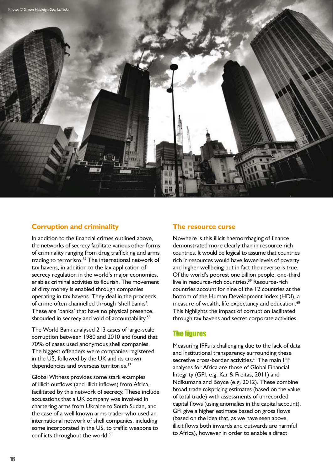

#### **Corruption and criminality**

In addition to the financial crimes outlined above, the networks of secrecy facilitate various other forms of criminality ranging from drug trafficking and arms trading to terrorism.<sup>55</sup> The international network of tax havens, in addition to the lax application of secrecy regulation in the world's major economies, enables criminal activities to flourish. The movement of dirty money is enabled through companies operating in tax havens. They deal in the proceeds of crime often channelled through 'shell banks'. These are 'banks' that have no physical presence, shrouded in secrecy and void of accountability.<sup>56</sup>

The World Bank analysed 213 cases of large-scale corruption between 1980 and 2010 and found that 70% of cases used anonymous shell companies. The biggest offenders were companies registered in the US, followed by the UK and its crown dependencies and overseas territories.<sup>57</sup>

Global Witness provides some stark examples of illicit outflows (and illicit inflows) from Africa, facilitated by this network of secrecy. These include accusations that a UK company was involved in chartering arms from Ukraine to South Sudan, and the case of a well known arms trader who used an international network of shell companies, including some incorporated in the US, to traffic weapons to conflicts throughout the world.<sup>58</sup>

#### **The resource curse**

Nowhere is this illicit haemorrhaging of finance demonstrated more clearly than in resource rich countries. It would be logical to assume that countries rich in resources would have lower levels of poverty and higher wellbeing but in fact the reverse is true. Of the world's poorest one billion people, one-third live in resource-rich countries.<sup>59</sup> Resource-rich countries account for nine of the 12 countries at the bottom of the Human Development Index (HDI), a measure of wealth, life expectancy and education.<sup>60</sup> This highlights the impact of corruption facilitated through tax havens and secret corporate activities.

#### **The figures**

Measuring IFFs is challenging due to the lack of data and institutional transparency surrounding these secretive cross-border activities.<sup>61</sup> The main IFF analyses for Africa are those of Global Financial Integrity (GFI, e.g. Kar & Freitas, 2011) and Ndikumana and Boyce (e.g. 2012). These combine broad trade mispricing estimates (based on the value of total trade) with assessments of unrecorded capital flows (using anomalies in the capital account). GFI give a higher estimate based on gross flows (based on the idea that, as we have seen above, illicit flows both inwards and outwards are harmful to Africa), however in order to enable a direct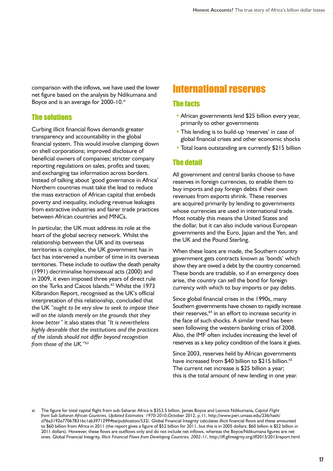comparison with the inflows, we have used the lower net figure based on the analysis by Ndikumana and Boyce and is an average for 2000-10.xi

#### The solutions

Curbing illicit financial flows demands greater transparency and accountability in the global financial system. This would involve clamping down on shell corporations; improved disclosure of beneficial owners of companies; stricter company reporting regulations on sales, profits and taxes; and exchanging tax information across borders. Instead of talking about 'good governance in Africa' Northern countries must take the lead to reduce the mass extraction of African capital that embeds poverty and inequality, including revenue leakages from extractive industries and fairer trade practices between African countries and MNCs.

In particular, the UK must address its role at the heart of the global secrecy network. Whilst the relationship between the UK and its overseas territories is complex, the UK government has in fact has intervened a number of time in its overseas territories. These include to outlaw the death penalty (1991) decriminalise homosexual acts (2000) and in 2009, it even imposed three years of direct rule on the Turks and Caicos Islands.<sup>62</sup> Whilst the 1973 Kilbrandon Report, recognised as the UK's official interpretation of this relationship, concluded that the UK *"ought to be very slow to seek to impose their will on the islands merely on the grounds that they know better"* it also states that *"It is nevertheless highly desirable that the institutions and the practices of the islands should not differ beyond recognition from those of the UK."*<sup>63</sup>

## International reserves

#### The facts

- **•** African governments lend \$25 billion every year, primarily to other governments
- **•** This lending is to build-up 'reserves' in case of global financial crises and other economic shocks
- Total loans outstanding are currently \$215 billion

#### The detail

All government and central banks choose to have reserves in foreign currencies, to enable them to buy imports and pay foreign debts if their own revenues from exports shrink. These reserves are acquired primarily by lending to governments whose currencies are used in international trade. Most notably this means the United States and the dollar, but it can also include various European governments and the Euro, Japan and the Yen, and the UK and the Pound Sterling.

When these loans are made, the Southern country government gets contracts known as 'bonds' which show they are owed a debt by the country concerned. These bonds are tradable, so if an emergency does arise, the country can sell the bond for foreign currency with which to buy imports or pay debts.

Since global financial crises in the 1990s, many Southern governments have chosen to rapidly increase their reserves,<sup>64</sup> in an effort to increase security in the face of such shocks. A similar trend has been seen following the western banking crisis of 2008. Also, the IMF often includes increasing the level of reserves as a key policy condition of the loans it gives.

Since 2003, reserves held by African governments have increased from \$40 billion to \$215 billion.<sup>65</sup> The current net increase is \$25 billion a year; this is the total amount of new lending in one year.

xi The figure for total capital flight from sub-Saharan Africa is \$353.5 billion. James Boyce and Leonce Ndikumana, *Capital Flight from Sub-Saharan African Countries, Updated Estimates: 1970-2010*,October 2012, p.11, [http://www.peri.umass.edu/236/hash/](http://www.peri.umass.edu/236/hash/d76a3192e770678316c1ab39712994be/publication/532/) [d76a3192e770678316c1ab39712994be/publication/532/.](http://www.peri.umass.edu/236/hash/d76a3192e770678316c1ab39712994be/publication/532/) Global Financial Integrity calculates illicit financial flows and these amounted to \$60 billion from Africa in 2011 (the report gives a figure of \$52 billion for 2011, but this is in 2005 dollars; \$60 billion is \$52 billion in 2011 dollars). However, these flows are outflows only and do not include net inflows, whereas the Boyce/Ndikumana figures are net ones. Global Financial Integrity, *Illicit Financial Flows from Developing Countries, 2002-11*, http://iff.gfintegrity.org/iff2013/2013report.html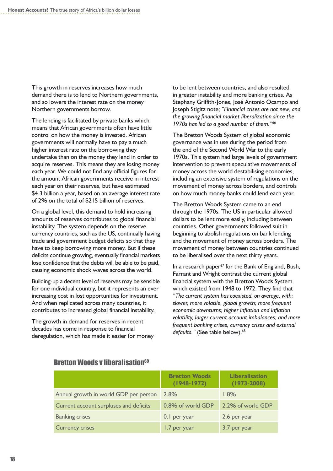This growth in reserves increases how much demand there is to lend to Northern governments, and so lowers the interest rate on the money Northern governments borrow.

The lending is facilitated by private banks which means that African governments often have little control on how the money is invested. African governments will normally have to pay a much higher interest rate on the borrowing they undertake than on the money they lend in order to acquire reserves. This means they are losing money each year. We could not find any official figures for the amount African governments receive in interest each year on their reserves, but have estimated \$4.3 billion a year, based on an average interest rate of 2% on the total of \$215 billion of reserves.

On a global level, this demand to hold increasing amounts of reserves contributes to global financial instability. The system depends on the reserve currency countries, such as the US, continually having trade and government budget deficits so that they have to keep borrowing more money. But if these deficits continue growing, eventually financial markets lose confidence that the debts will be able to be paid, causing economic shock waves across the world.

Building-up a decent level of reserves may be sensible for one individual country, but it represents an ever increasing cost in lost opportunities for investment. And when replicated across many countries, it contributes to increased global financial instability.

The growth in demand for reserves in recent decades has come in response to financial deregulation, which has made it easier for money

to be lent between countries, and also resulted in greater instability and more banking crises. As Stephany Griffith-Jones, José Antonio Ocampo and Joseph Stigltz note; *"Financial crises are not new, and the growing financial market liberalization since the 1970s has led to a good number of them."*<sup>66</sup>

The Bretton Woods System of global economic governance was in use during the period from the end of the Second World War to the early 1970s. This system had large levels of government intervention to prevent speculative movements of money across the world destabilising economies, including an extensive system of regulations on the movement of money across borders, and controls on how much money banks could lend each year.

The Bretton Woods System came to an end through the 1970s. The US in particular allowed dollars to be lent more easily, including between countries. Other governments followed suit in beginning to abolish regulations on bank lending and the movement of money across borders. The movement of money between countries continued to be liberalised over the next thirty years.

In a research paper<sup>67</sup> for the Bank of England, Bush, Farrant and Wright contrast the current global financial system with the Bretton Woods System which existed from 1948 to 1972. They find that *"The current system has coexisted, on average, with: slower, more volatile, global growth; more frequent economic downturns; higher inflation and inflation volatility, larger current account imbalances; and more frequent banking crises, currency crises and external*  defaults." (See table below).<sup>68</sup>

#### **Bretton Woods v liberalisation<sup>69</sup>**

|                                        | <b>Bretton Woods</b><br>$(1948-1972)$ | <b>Liberalisation</b><br>$(1973 - 2008)$ |
|----------------------------------------|---------------------------------------|------------------------------------------|
| Annual growth in world GDP per person  | 2.8%                                  | 1.8%                                     |
| Current account surpluses and deficits | 0.8% of world GDP                     | 2.2% of world GDP                        |
| <b>Banking crises</b>                  | 0.1 per year                          | 2.6 per year                             |
| <b>Currency crises</b>                 | 1.7 per year                          | 3.7 per year                             |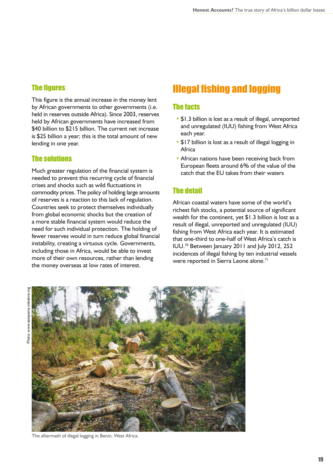#### **The figures**

This figure is the annual increase in the money lent by African governments to other governments (i.e. held in reserves outside Africa). Since 2003, reserves held by African governments have increased from \$40 billion to \$215 billion. The current net increase is \$25 billion a year; this is the total amount of new lending in one year.

#### The solutions

Much greater regulation of the financial system is needed to prevent this recurring cycle of financial crises and shocks such as wild fluctuations in commodity prices. The policy of holding large amounts of reserves is a reaction to this lack of regulation. Countries seek to protect themselves individually from global economic shocks but the creation of a more stable financial system would reduce the need for such individual protection. The holding of fewer reserves would in turn reduce global financial instability, creating a virtuous cycle. Governments, including those in Africa, would be able to invest more of their own resources, rather than lending the money overseas at low rates of interest.

# **Illegal fishing and logging**

#### The facts

- **•** \$1.3 billion is lost as a result of illegal, unreported and unregulated (IUU) fishing from West Africa each year.
- **•** \$17 billion is lost as a result of illegal logging in Africa
- **•** African nations have been receiving back from European fleets around 6% of the value of the catch that the EU takes from their waters

#### The detail

African coastal waters have some of the world's richest fish stocks, a potential source of significant wealth for the continent, yet \$1.3 billion is lost as a result of illegal, unreported and unregulated (IUU) fishing from West Africa each year. It is estimated that one-third to one-half of West Africa's catch is IUU.<sup>70</sup> Between January 2011 and July 2012, 252 incidences of illegal fishing by ten industrial vessels were reported in Sierra Leone alone.<sup>71</sup>



The aftermath of illegal logging in Benin, West Africa.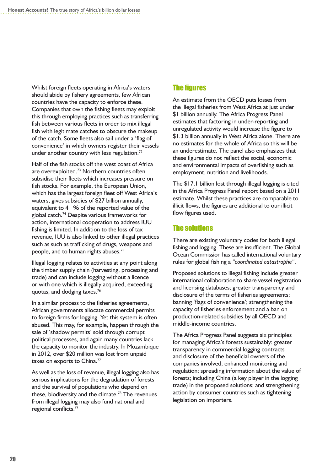Whilst foreign fleets operating in Africa's waters should abide by fishery agreements, few African countries have the capacity to enforce these. Companies that own the fishing fleets may exploit this through employing practices such as transferring fish between various fleets in order to mix illegal fish with legitimate catches to obscure the makeup of the catch. Some fleets also sail under a 'flag of convenience' in which owners register their vessels under another country with less regulation.<sup>72</sup>

Half of the fish stocks off the west coast of Africa are overexploited.<sup>73</sup> Northern countries often subsidise their fleets which increases pressure on fish stocks. For example, the European Union, which has the largest foreign fleet off West Africa's waters, gives subsidies of \$27 billion annually, equivalent to 41 % of the reported value of the global catch.<sup>74</sup> Despite various frameworks for action, international cooperation to address IUU fishing is limited. In addition to the loss of tax revenue, IUU is also linked to other illegal practices such as such as trafficking of drugs, weapons and people, and to human rights abuses.<sup>75</sup>

Illegal logging relates to activities at any point along the timber supply chain (harvesting, processing and trade) and can include logging without a licence or with one which is illegally acquired, exceeding quotas, and dodging taxes.<sup>76</sup>

In a similar process to the fisheries agreements, African governments allocate commercial permits to foreign firms for logging. Yet this system is often abused. This may, for example, happen through the sale of 'shadow permits' sold through corrupt political processes, and again many countries lack the capacity to monitor the industry. In Mozambique in 2012, over \$20 million was lost from unpaid taxes on exports to China.<sup>77</sup>

As well as the loss of revenue, illegal logging also has serious implications for the degradation of forests and the survival of populations who depend on these, biodiversity and the climate.<sup>78</sup> The revenues from illegal logging may also fund national and regional conflicts.<sup>79</sup>

#### **The figures**

An estimate from the OECD puts losses from the illegal fisheries from West Africa at just under \$1 billion annually. The Africa Progress Panel estimates that factoring in under-reporting and unregulated activity would increase the figure to \$1.3 billion annually in West Africa alone. There are no estimates for the whole of Africa so this will be an underestimate. The panel also emphasizes that these figures do not reflect the social, economic and environmental impacts of overfishing such as employment, nutrition and livelihoods.

The \$17.1 billion lost through illegal logging is cited in the Africa Progress Panel report based on a 2011 estimate. Whilst these practices are comparable to illicit flows, the figures are additional to our illicit flow figures used.

#### The solutions

There are existing voluntary codes for both illegal fishing and logging. These are insufficient. The Global Ocean Commission has called international voluntary rules for global fishing a *"coordinated catastrophe"*.

Proposed solutions to illegal fishing include greater international collaboration to share vessel registration and licensing databases; greater transparency and disclosure of the terms of fisheries agreements; banning 'flags of convenience'; strengthening the capacity of fisheries enforcement and a ban on production-related subsidies by all OECD and middle-income countries.

The Africa Progress Panel suggests six principles for managing Africa's forests sustainably: greater transparency in commercial logging contracts and disclosure of the beneficial owners of the companies involved; enhanced monitoring and regulation; spreading information about the value of forests; including China (a key player in the logging trade) in the proposed solutions; and strengthening action by consumer countries such as tightening legislation on importers.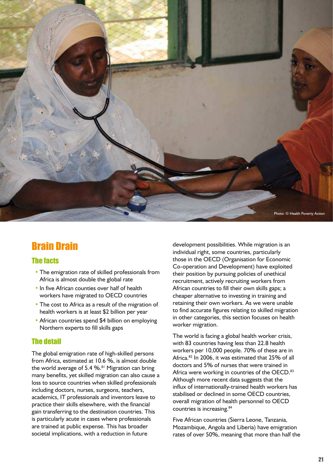

# Brain Drain

#### The facts

- **•** The emigration rate of skilled professionals from Africa is almost double the global rate
- **•** In five African counties over half of health workers have migrated to OECD countries
- **The cost to Africa as a result of the migration of** health workers is at least \$2 billion per year
- **African countries spend \$4 billion on employing** Northern experts to fill skills gaps

#### The detail

The global emigration rate of high-skilled persons from Africa, estimated at 10.6 %, is almost double the world average of 5.4 %. $81$  Migration can bring many benefits, yet skilled migration can also cause a loss to source countries when skilled professionals including doctors, nurses, surgeons, teachers, academics, IT professionals and inventors leave to practice their skills elsewhere, with the financial gain transferring to the destination countries. This is particularly acute in cases where professionals are trained at public expense. This has broader societal implications, with a reduction in future

development possibilities. While migration is an individual right, some countries, particularly those in the OECD (Organisation for Economic Co-operation and Development) have exploited their position by pursuing policies of unethical recruitment, actively recruiting workers from African countries to fill their own skills gaps; a cheaper alternative to investing in training and retaining their own workers. As we were unable to find accurate figures relating to skilled migration in other categories, this section focuses on health worker migration.

The world is facing a global health worker crisis, with 83 countries having less than 22.8 health workers per 10,000 people. 70% of these are in Africa.<sup>82</sup> In 2006, it was estimated that 25% of all doctors and 5% of nurses that were trained in Africa were working in countries of the OECD.<sup>83</sup> Although more recent data suggests that the influx of internationally-trained health workers has stabilised or declined in some OECD countries, overall migration of health personnel to OECD countries is increasing.<sup>84</sup>

Five African countries (Sierra Leone, Tanzania, Mozambique, Angola and Liberia) have emigration rates of over 50%, meaning that more than half the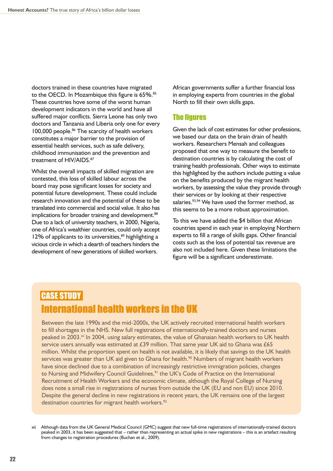doctors trained in these countries have migrated to the OECD. In Mozambique this figure is 65%.<sup>85</sup> These countries hove some of the worst human development indicators in the world and have all suffered major conflicts. Sierra Leone has only two doctors and Tanzania and Liberia only one for every 100,000 people.<sup>86</sup> The scarcity of health workers constitutes a major barrier to the provision of essential health services, such as safe delivery, childhood immunisation and the prevention and treatment of HIV/AIDS.<sup>87</sup>

Whilst the overall impacts of skilled migration are contested, this loss of skilled labour across the board may pose significant losses for society and potential future development. These could include research innovation and the potential of these to be translated into commercial and social value. It also has implications for broader training and development.<sup>88</sup> Due to a lack of university teachers, in 2000, Nigeria, one of Africa's wealthier countries, could only accept 12% of applicants to its universities,<sup>89</sup> highlighting a vicious circle in which a dearth of teachers hinders the development of new generations of skilled workers.

African governments suffer a further financial loss in employing experts from countries in the global North to fill their own skills gaps.

#### **The figures**

Given the lack of cost estimates for other professions, we based our data on the brain drain of health workers. Researchers Mensah and colleagues proposed that one way to measure the benefit to destination countries is by calculating the cost of training health professionals. Other ways to estimate this highlighted by the authors include putting a value on the benefits produced by the migrant health workers, by assessing the value they provide through their services or by looking at their respective salaries.<sup>93,94</sup> We have used the former method, as this seems to be a more robust approximation.

To this we have added the \$4 billion that African countries spend in each year in employing Northern experts to fill a range of skills gaps. Other financial costs such as the loss of potential tax revenue are also not included here. Given these limitations the figure will be a significant underestimate.

## CASE STUDy International health workers in the UK

Between the late 1990s and the mid-2000s, the UK actively recruited international health workers to fill shortages in the NHS. New full registrations of internationally-trained doctors and nurses peaked in 2003.<sup>xii</sup> In 2004, using salary estimates, the value of Ghanaian health workers to UK health service users annually was estimated at £39 million. That same year UK aid to Ghana was £65 million. Whilst the proportion spent on health is not available, it is likely that savings to the UK health services was greater than UK aid given to Ghana for health.<sup>90</sup> Numbers of migrant health workers have since declined due to a combination of increasingly restrictive immigration policies, changes to Nursing and Midwifery Council Guidelines,<sup>91</sup> the UK's Code of Practice on the International Recruitment of Health Workers and the economic climate, although the Royal College of Nursing does note a small rise in registrations of nurses from outside the UK (EU and non EU) since 2010. Despite the general decline in new registrations in recent years, the UK remains one of the largest destination countries for migrant health workers.<sup>92</sup>

xii Although data from the UK General Medical Council (GMC) suggest that new full-time registrations of internationally-trained doctors peaked in 2003, it has been suggested that – rather than representing an actual spike in new registrations – this is an artefact resulting from changes to registration procedures (Buchan et al., 2009).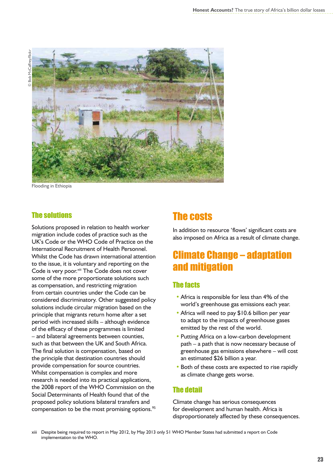

Flooding in Ethiopia

#### The solutions

Solutions proposed in relation to health worker migration include codes of practice such as the UK's Code or the WHO Code of Practice on the International Recruitment of Health Personnel. Whilst the Code has drawn international attention to the issue, it is voluntary and reporting on the Code is very poor.<sup>xiii</sup> The Code does not cover some of the more proportionate solutions such as compensation, and restricting migration from certain countries under the Code can be considered discriminatory. Other suggested policy solutions include circular migration based on the principle that migrants return home after a set period with increased skills – although evidence of the efficacy of these programmes is limited – and bilateral agreements between counties, such as that between the UK and South Africa. The final solution is compensation, based on the principle that destination countries should provide compensation for source countries. Whilst compensation is complex and more research is needed into its practical applications, the 2008 report of the WHO Commission on the Social Determinants of Health found that of the proposed policy solutions bilateral transfers and compensation to be the most promising options.<sup>95</sup>

## The costs

In addition to resource 'flows' significant costs are also imposed on Africa as a result of climate change.

## Climate Change – adaptation and mitigation

#### The facts

- Africa is responsible for less than 4% of the world's greenhouse gas emissions each year.
- Africa will need to pay \$10.6 billion per year to adapt to the impacts of greenhouse gases emitted by the rest of the world.
- **•** Putting Africa on a low-carbon development path – a path that is now necessary because of greenhouse gas emissions elsewhere – will cost an estimated \$26 billion a year.
- Both of these costs are expected to rise rapidly as climate change gets worse.

#### The detail

Climate change has serious consequences for development and human health. Africa is disproportionately affected by these consequences.

xiii Despite being required to report in May 2012, by May 2013 only 51 WHO Member States had submitted a report on Code implementation to the WHO.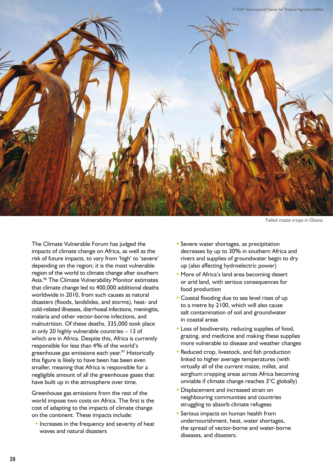

Failed maize crops in Ghana.

The Climate Vulnerable Forum has judged the impacts of climate change on Africa, as well as the risk of future impacts, to vary from 'high' to 'severe' depending on the region; it is the most vulnerable region of the world to climate change after southern Asia.<sup>96</sup> The Climate Vulnerability Monitor estimates that climate change led to 400,000 additional deaths worldwide in 2010, from such causes as natural disasters (floods, landslides, and storms), heat- and cold-related illnesses, diarrhoeal infections, meningitis, malaria and other vector-borne infections, and malnutrition. Of these deaths, 335,000 took place in only 20 highly vulnerable countries – 13 of which are in Africa. Despite this, Africa is currently responsible for less than 4% of the world's greenhouse gas emissions each year.<sup>97</sup> Historically this figure is likely to have been has been even smaller, meaning that Africa is responsible for a negligible amount of all the greenhouse gases that have built up in the atmosphere over time.

Greenhouse gas emissions from the rest of the world impose two costs on Africa. The first is the cost of adapting to the impacts of climate change on the continent. These impacts include:

**•** Increases in the frequency and severity of heat waves and natural disasters

- **•** Severe water shortages, as precipitation decreases by up to 30% in southern Africa and rivers and supplies of groundwater begin to dry up (also affecting hydroelectric power)
- **More of Africa's land area becoming desert** or arid land, with serious consequences for food production
- **•** Coastal flooding due to sea level rises of up to a metre by 2100, which will also cause salt contamination of soil and groundwater in coastal areas
- **•** Loss of biodiversity, reducing supplies of food, grazing, and medicine and making these supplies more vulnerable to disease and weather changes
- **•** Reduced crop, livestock, and fish production linked to higher average temperatures (with virtually all of the current maize, millet, and sorghum cropping areas across Africa becoming unviable if climate change reaches 3°C globally)
- **•** Displacement and increased strain on neighbouring communities and countries struggling to absorb climate refugees
- **•** Serious impacts on human health from undernourishment, heat, water shortages, the spread of vector-borne and water-borne diseases, and disasters.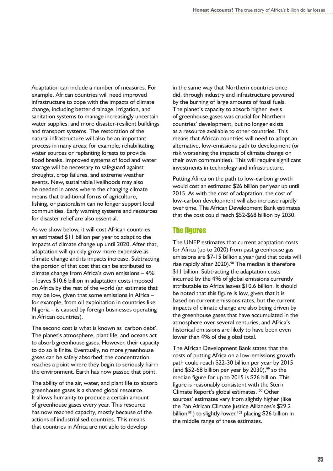Adaptation can include a number of measures. For example, African countries will need improved infrastructure to cope with the impacts of climate change, including better drainage, irrigation, and sanitation systems to manage increasingly uncertain water supplies; and more disaster-resilient buildings and transport systems. The restoration of the natural infrastructure will also be an important process in many areas, for example, rehabilitating water sources or replanting forests to provide flood breaks. Improved systems of food and water storage will be necessary to safeguard against droughts, crop failures, and extreme weather events. New, sustainable livelihoods may also be needed in areas where the changing climate means that traditional forms of agriculture, fishing, or pastoralism can no longer support local communities. Early warning systems and resources for disaster relief are also essential.

As we show below, it will cost African countries an estimated \$11 billion per year to adapt to the impacts of climate change up until 2020. After that, adaptation will quickly grow more expensive as climate change and its impacts increase. Subtracting the portion of that cost that can be attributed to climate change from Africa's own emissions – 4% – leaves \$10.6 billion in adaptation costs imposed on Africa by the rest of the world (an estimate that may be low, given that some emissions in Africa – for example, from oil exploitation in countries like Nigeria – is caused by foreign businesses operating in African countries).

The second cost is what is known as 'carbon debt'. The planet's atmosphere, plant life, and oceans act to absorb greenhouse gases. However, their capacity to do so is finite. Eventually, no more greenhouse gases can be safely absorbed; the concentration reaches a point where they begin to seriously harm the environment. Earth has now passed that point.

The ability of the air, water, and plant life to absorb greenhouse gases is a shared global resource. It allows humanity to produce a certain amount of greenhouse gases every year. This resource has now reached capacity, mostly because of the actions of industrialised countries. This means that countries in Africa are not able to develop

in the same way that Northern countries once did, through industry and infrastructure powered by the burning of large amounts of fossil fuels. The planet's capacity to absorb higher levels of greenhouse gases was crucial for Northern countries' development, but no longer exists as a resource available to other countries. This means that African countries will need to adopt an alternative, low-emissions path to development (or risk worsening the impacts of climate change on their own communities). This will require significant investments in technology and infrastructure.

Putting Africa on the path to low-carbon growth would cost an estimated \$26 billion per year up until 2015. As with the cost of adaptation, the cost of low-carbon development will also increase rapidly over time. The African Development Bank estimates that the cost could reach \$52-\$68 billion by 2030.

#### **The figures**

The UNEP estimates that current adaptation costs for Africa (up to 2020) from past greenhouse gas emissions are \$7-15 billion a year (and that costs will rise rapidly after 2020).<sup>98</sup> The median is therefore \$11 billion. Subtracting the adaptation costs incurred by the 4% of global emissions currently attributable to Africa leaves \$10.6 billion. It should be noted that this figure is low, given that it is based on current emissions rates, but the current impacts of climate change are also being driven by the greenhouse gases that have accumulated in the atmosphere over several centuries, and Africa's historical emissions are likely to have been even lower than 4% of the global total.

The African Development Bank states that the costs of putting Africa on a low-emissions growth path could reach \$22-30 billion per year by 2015 (and  $$52-68$  billion per year by 2030),<sup>99</sup> so the median figure for up to 2015 is \$26 billion. This figure is reasonably consistent with the Stern Climate Report's global estimates.<sup>100</sup> Other sources' estimates vary from slightly higher (like the Pan African Climate Justice Alliances's \$29.2 billion<sup>101</sup>) to slightly lower,<sup>102</sup> placing \$26 billion in the middle range of these estimates.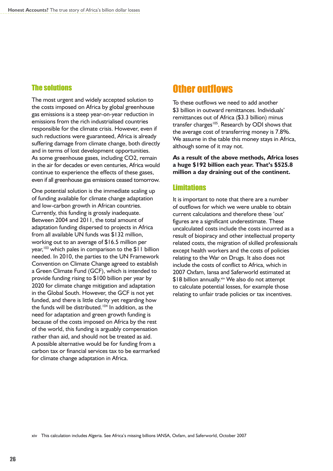#### The solutions

The most urgent and widely accepted solution to the costs imposed on Africa by global greenhouse gas emissions is a steep year-on-year reduction in emissions from the rich industrialised countries responsible for the climate crisis. However, even if such reductions were guaranteed, Africa is already suffering damage from climate change, both directly and in terms of lost development opportunities. As some greenhouse gases, including CO2, remain in the air for decades or even centuries, Africa would continue to experience the effects of these gases, even if all greenhouse gas emissions ceased tomorrow.

One potential solution is the immediate scaling up of funding available for climate change adaptation and low-carbon growth in African countries. Currently, this funding is grossly inadequate. Between 2004 and 2011, the total amount of adaptation funding dispersed to projects in Africa from all available UN funds was \$132 million, working out to an average of \$16.5 million per year,<sup>103</sup> which pales in comparison to the \$11 billion needed. In 2010, the parties to the UN Framework Convention on Climate Change agreed to establish a Green Climate Fund (GCF), which is intended to provide funding rising to \$100 billion per year by 2020 for climate change mitigation and adaptation in the Global South. However, the GCF is not yet funded, and there is little clarity yet regarding how the funds will be distributed.<sup> $104$ </sup> In addition, as the need for adaptation and green growth funding is because of the costs imposed on Africa by the rest of the world, this funding is arguably compensation rather than aid, and should not be treated as aid. A possible alternative would be for funding from a carbon tax or financial services tax to be earmarked for climate change adaptation in Africa.

#### **Other outflows**

To these outflows we need to add another \$3 billion in outward remittances. Individuals' remittances out of Africa (\$3.3 billion) minus transfer charges<sup>105</sup>. Research by ODI shows that the average cost of transferring money is 7.8%. We assume in the table this money stays in Africa, although some of it may not.

**As a result of the above methods, Africa loses a huge \$192 billion each year. That's \$525.8 million a day draining out of the continent.** 

#### **Limitations**

It is important to note that there are a number of outflows for which we were unable to obtain current calculations and therefore these 'out' figures are a significant underestimate. These uncalculated costs include the costs incurred as a result of biopiracy and other intellectual property related costs, the migration of skilled professionals except health workers and the costs of policies relating to the War on Drugs. It also does not include the costs of conflict to Africa, which in 2007 Oxfam, Iansa and Saferworld estimated at \$18 billion annually.<sup>xiv</sup> We also do not attempt to calculate potential losses, for example those relating to unfair trade policies or tax incentives.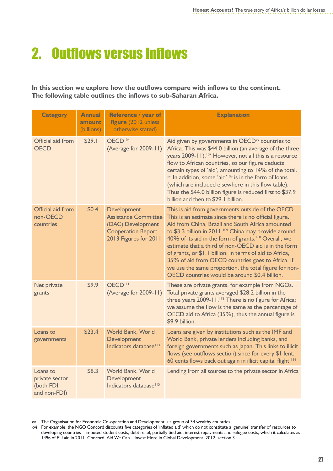# 2. Outflows versus Inflows

**In this section we explore how the outflows compare with inflows to the continent. The following table outlines the inflows to sub-Saharan Africa.**

| <b>Category</b>                                         | <b>Annual</b><br>amount<br>(billions) | Reference / year of<br>figure (2012 unless)<br>otherwise stated)                                                      | <b>Explanation</b>                                                                                                                                                                                                                                                                                                                                                                                                                                                                                                                                                                         |
|---------------------------------------------------------|---------------------------------------|-----------------------------------------------------------------------------------------------------------------------|--------------------------------------------------------------------------------------------------------------------------------------------------------------------------------------------------------------------------------------------------------------------------------------------------------------------------------------------------------------------------------------------------------------------------------------------------------------------------------------------------------------------------------------------------------------------------------------------|
| Official aid from<br><b>OECD</b>                        | \$29.1                                | OECD <sup>106</sup><br>(Average for 2009-11)                                                                          | Aid given by governments in OECD <sup>xv</sup> countries to<br>Africa. This was \$44.0 billion (an average of the three<br>years 2009-11). <sup>107</sup> However, not all this is a resource<br>flow to African countries, so our figure deducts<br>certain types of 'aid', amounting to 14% of the total.<br>xvi In addition, some 'aid' <sup>108</sup> is in the form of loans<br>(which are included elsewhere in this flow table).<br>Thus the \$44.0 billion figure is reduced first to \$37.9<br>billion and then to \$29.1 billion.                                                |
| Official aid from<br>non-OECD<br>countries              | \$0.4\$                               | Development<br><b>Assistance Committee</b><br>(DAC) Development<br><b>Cooperation Report</b><br>2013 Figures for 2011 | This is aid from governments outside of the OECD.<br>This is an estimate since there is no official figure.<br>Aid from China, Brazil and South Africa amounted<br>to \$3.3 billion in 2011. <sup>109</sup> China may provide around<br>40% of its aid in the form of grants. <sup>110</sup> Overall, we<br>estimate that a third of non-OECD aid is in the form<br>of grants, or \$1.1 billion. In terms of aid to Africa,<br>35% of aid from OECD countries goes to Africa. If<br>we use the same proportion, the total figure for non-<br>OECD countries would be around \$0.4 billion. |
| Net private<br>grants                                   | \$9.9                                 | OECD <sup>III</sup><br>(Average for 2009-11)                                                                          | These are private grants, for example from NGOs.<br>Total private grants averaged \$28.2 billion in the<br>three years 2009-11. <sup>112</sup> There is no figure for Africa;<br>we assume the flow is the same as the percentage of<br>OECD aid to Africa (35%), thus the annual figure is<br>\$9.9 billion.                                                                                                                                                                                                                                                                              |
| Loans to<br>governments                                 | \$23.4                                | World Bank, World<br>Development<br>Indicators database <sup>113</sup>                                                | Loans are given by institutions such as the IMF and<br>World Bank, private lenders including banks, and<br>foreign governments such as Japan. This links to illicit<br>flows (see outflows section) since for every \$1 lent,<br>60 cents flows back out again in illicit capital flight. <sup>114</sup>                                                                                                                                                                                                                                                                                   |
| Loans to<br>private sector<br>(both FDI<br>and non-FDI) | \$8.3                                 | World Bank, World<br>Development<br>Indicators database <sup>115</sup>                                                | Lending from all sources to the private sector in Africa                                                                                                                                                                                                                                                                                                                                                                                                                                                                                                                                   |

xv The Organisation for Economic Co-operation and Development is a group of 34 wealthy countries.

xvi For example, the NGO Concord discounts five categories of 'inflated aid' which do not constitute a 'genuine' transfer of resources to developing countries – imputed student costs, debt relief, partially tied aid, interest repayments and refugee costs, which it calculates as 14% of EU aid in 2011. Concord, Aid We Can – Invest More in Global Development, 2012, section 3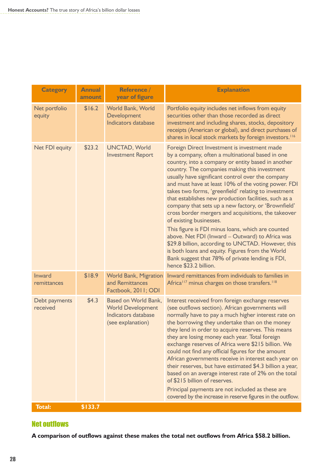| <b>Category</b>           | <b>Annual</b><br>amount | Reference /<br>year of figure                                                                       | <b>Explanation</b>                                                                                                                                                                                                                                                                                                                                                                                                                                                                                                                                                                                                                                                                                                                                                                                                                                                           |
|---------------------------|-------------------------|-----------------------------------------------------------------------------------------------------|------------------------------------------------------------------------------------------------------------------------------------------------------------------------------------------------------------------------------------------------------------------------------------------------------------------------------------------------------------------------------------------------------------------------------------------------------------------------------------------------------------------------------------------------------------------------------------------------------------------------------------------------------------------------------------------------------------------------------------------------------------------------------------------------------------------------------------------------------------------------------|
| Net portfolio<br>equity   | \$16.2                  | World Bank, World<br>Development<br><b>Indicators database</b>                                      | Portfolio equity includes net inflows from equity<br>securities other than those recorded as direct<br>investment and including shares, stocks, depository<br>receipts (American or global), and direct purchases of<br>shares in local stock markets by foreign investors. <sup>116</sup>                                                                                                                                                                                                                                                                                                                                                                                                                                                                                                                                                                                   |
| <b>Net FDI equity</b>     | \$23.2                  | <b>UNCTAD, World</b><br><b>Investment Report</b>                                                    | Foreign Direct Investment is investment made<br>by a company, often a multinational based in one<br>country, into a company or entity based in another<br>country. The companies making this investment<br>usually have significant control over the company<br>and must have at least 10% of the voting power. FDI<br>takes two forms, 'greenfield' relating to investment<br>that establishes new production facilities, such as a<br>company that sets up a new factory, or 'Brownfield'<br>cross border mergers and acquisitions, the takeover<br>of existing businesses.<br>This figure is FDI minus loans, which are counted<br>above. Net FDI (Inward - Outward) to Africa was<br>\$29.8 billion, according to UNCTAD. However, this<br>is both loans and equity. Figures from the World<br>Bank suggest that 78% of private lending is FDI,<br>hence \$23.2 billion. |
| Inward<br>remittances     | \$18.9                  | <b>World Bank, Migration</b><br>and Remittances<br>Factbook, 2011; ODI                              | Inward remittances from individuals to families in<br>Africa <sup>117</sup> minus charges on those transfers. <sup>118</sup>                                                                                                                                                                                                                                                                                                                                                                                                                                                                                                                                                                                                                                                                                                                                                 |
| Debt payments<br>received | \$4.3\$                 | <b>Based on World Bank,</b><br><b>World Development</b><br>Indicators database<br>(see explanation) | Interest received from foreign exchange reserves<br>(see outflows section). African governments will<br>normally have to pay a much higher interest rate on<br>the borrowing they undertake than on the money<br>they lend in order to acquire reserves. This means<br>they are losing money each year. Total foreign<br>exchange reserves of Africa were \$215 billion. We<br>could not find any official figures for the amount<br>African governments receive in interest each year on<br>their reserves, but have estimated \$4.3 billion a year,<br>based on an average interest rate of 2% on the total<br>of \$215 billion of reserves.<br>Principal payments are not included as these are<br>covered by the increase in reserve figures in the outflow.                                                                                                             |
| <b>Total:</b>             | \$133.7                 |                                                                                                     |                                                                                                                                                                                                                                                                                                                                                                                                                                                                                                                                                                                                                                                                                                                                                                                                                                                                              |

#### **Net outflows**

**A comparison of outflows against these makes the total net outflows from Africa \$58.2 billion.**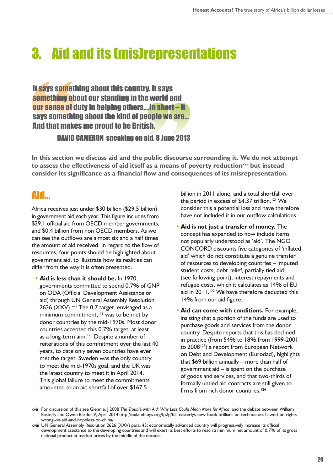# 3. Aid and its (mis)representations

It says something about this country. It says something about our standing in the world and our sense of duty in helping others….In short – it says something about the kind of people we are… And that makes me proud to be British.

#### DAVID CAMERON speaking on aid, 8 June 2013

**In this section we discuss aid and the public discourse surrounding it. We do not attempt to assess the effectiveness of aid itself as a means of poverty reductionxvii but instead consider its significance as a financial flow and consequences of its misrepresentation.**

## Aid…

Africa receives just under \$30 billion (\$29.5 billion) in government aid each year. This figure includes from \$29.1 official aid from OECD member governments; and \$0.4 billion from non OECD members. As we can see the outflows are almost six and a half times the amount of aid received. In regard to the flow of resources, four points should be highlighted about government aid, to illustrate how its realities can differ from the way it is often presented.

**• Aid is less than it should be.** In 1970, governments committed to spend 0.7% of GNP on ODA (Official Development Assistance or aid) through UN General Assembly Resolution 2626 (XXV).<sup>xviii</sup> The 0.7 target, envisaged as a minimum commitment, $119$  was to be met by donor countries by the mid-1970s. Most donor countries accepted this 0.7% target, at least as a long-term aim.<sup>120</sup> Despite a number of reiterations of this commitment over the last 40 years, to date only seven countries have ever met the target. Sweden was the only country to meet the mid-1970s goal, and the UK was the latest country to meet it in April 2014. This global failure to meet the commitments amounted to an aid shortfall of over \$167.5

billion in 2011 alone, and a total shortfall over the period in excess of \$4.37 trillion.<sup>121</sup> We consider this a potential loss and have therefore have not included it in our outflow calculations.

- **• Aid is not just a transfer of money.** The concept has expanded to now include items not popularly understood as 'aid'. The NGO CONCORD discounts five categories of 'inflated aid' which do not constitute a genuine transfer of resources to developing countries – imputed student costs, debt relief, partially tied aid (see following point), interest repayments and refugee costs, which it calculates as 14% of EU aid in  $2011.^{122}$  We have therefore deducted this 14% from our aid figure.
- **• Aid can come with conditions.** For example, insisting that a portion of the funds are used to purchase goods and services from the donor country. Despite reports that this has declined in practice (from 54% to 18% from 1999-2001 to 2008<sup>123</sup>) a report from European Network on Debt and Development (Eurodad), highlights that \$69 billion annually – more than half of government aid – is spent on the purchase of goods and services, and that two-thirds of formally untied aid contracts are still given to firms from rich donor countries.<sup>124</sup>

xvii For discussion of this see Glennie, J 2008 *The Trouble with Aid: Why Less Could Mean More for Africa*; and the debate between William Easterly and Owen Bardor 9, April 2014 http://oxfamblogs.org/fp2p/bill-easterlys-new-book-brilliant-on-technocrats-flawed-on-rightswrong-on-aid-and-hopeless-on-china/

xviii UN General Assembly Resolution 2626 (XXV) para, 43: economically advanced country will progressively increase its official development assistance to the developing countries and will exert its best efforts to reach a minimum net amount of 0.7% of its gross national product at market prices by the middle of the decade.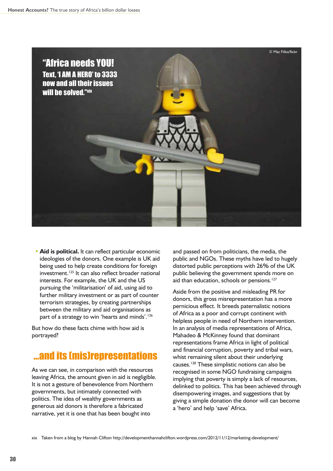

**• Aid is political.** It can reflect particular economic ideologies of the donors. One example is UK aid being used to help create conditions for foreign investment.<sup>125</sup> It can also reflect broader national interests. For example, the UK and the US pursuing the 'militarisation' of aid, using aid to further military investment or as part of counter terrorism strategies, by creating partnerships between the military and aid organisations as part of a strategy to win 'hearts and minds'.<sup>126</sup>

But how do these facts chime with how aid is portrayed?

# …and its (mis)representations

As we can see, in comparison with the resources leaving Africa, the amount given in aid is negligible. It is not a gesture of benevolence from Northern governments, but intimately connected with politics. The idea of wealthy governments as generous aid donors is therefore a fabricated narrative, yet it is one that has been bought into

and passed on from politicians, the media, the public and NGOs. These myths have led to hugely distorted public perceptions with 26% of the UK public believing the government spends more on aid than education, schools or pensions.<sup>127</sup>

Aside from the positive and misleading PR for donors, this gross misrepresentation has a more pernicious effect. It breeds paternalistic notions of Africa as a poor and corrupt continent with helpless people in need of Northern intervention. In an analysis of media representations of Africa, Mahadeo & McKinney found that dominant representations frame Africa in light of political and financial corruption, poverty and tribal wars, whist remaining silent about their underlying causes.<sup>128</sup> These simplistic notions can also be recognised in some NGO fundraising campaigns implying that poverty is simply a lack of resources, delinked to politics. This has been achieved through disempowering images, and suggestions that by giving a simple donation the donor will can become a 'hero' and help 'save' Africa.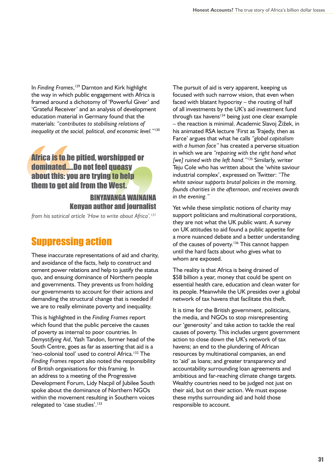In *Finding Frames*, <sup>129</sup> Darnton and Kirk highlight the way in which public engagement with Africa is framed around a dichotomy of 'Powerful Giver' and 'Grateful Receiver' and an analysis of development education material in Germany found that the materials: *"contributes to stabilising relations of inequality at the social, political, and economic level."*<sup>130</sup>

## Africa is to be pitied, worshipped or dominated.….Do not feel queasy about this: you are trying to help them to get aid from the West.

BINyAvANGA WAINAINA Kenyan author and journalist

*from his satirical article 'How to write about Africa'.<sup>131</sup>*

# Suppressing action

These inaccurate representations of aid and charity, and avoidance of the facts, help to construct and cement power relations and help to justify the status quo, and ensuing dominance of Northern people and governments. They prevents us from holding our governments to account for their actions and demanding the structural change that is needed if we are to really eliminate poverty and inequality.

This is highlighted in the *Finding Frames* report which found that the public perceive the causes of poverty as internal to poor countries. In *Demystifying Aid*, Yash Tandon, former head of the South Centre, goes as far as asserting that aid is a 'neo-colonial tool' used to control Africa.<sup>132</sup> The *Finding Frames* report also noted the responsibility of British organisations for this framing. In an address to a meeting of the Progressive Development Forum, Lidy Nacpil of Jubilee South spoke about the dominance of Northern NGOs within the movement resulting in Southern voices relegated to 'case studies'.<sup>133</sup>

The pursuit of aid is very apparent, keeping us focused with such narrow vision, that even when faced with blatant hypocrisy – the routing of half of all investments by the UK's aid investment fund through tax havens $134$  being just one clear example – the reaction is minimal. Academic Slavoj Žižek, in his animated RSA lecture 'First as Trajedy, then as Farce' argues that what he calls *"global capitalism with a human face"* has created a perverse situation in which we are *"repairing with the right hand what [we] ruined with the left hand."*<sup>135</sup> Similarly, writer Teju Cole who has written about the 'white saviour industrial complex', expressed on Twitter: *"The white saviour supports brutal policies in the morning, founds charities in the afternoon, and receives awards in the evening."*

Yet while these simplistic notions of charity may support politicians and multinational corporations, they are not what the UK public want. A survey on UK attitudes to aid found a public appetite for a more nuanced debate and a better understanding of the causes of poverty.<sup>136</sup> This cannot happen until the hard facts about who gives what to whom are exposed.

The reality is that Africa is being drained of \$58 billion a year, money that could be spent on essential health care, education and clean water for its people. Meanwhile the UK presides over a global network of tax havens that facilitate this theft.

It is time for the British government, politicians, the media, and NGOs to stop misrepresenting our 'generosity' and take action to tackle the real causes of poverty. This includes urgent government action to close down the UK's network of tax havens; an end to the plundering of African resources by multinational companies, an end to 'aid' as loans; and greater transparency and accountability surrounding loan agreements and ambitious and far-reaching climate change targets. Wealthy countries need to be judged not just on their aid, but on their action. We must expose these myths surrounding aid and hold those responsible to account.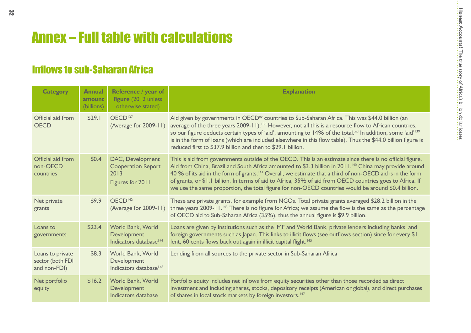# Annex – Full table with calculations

# **Inflows to sub-Saharan Africa**

| <b>Category</b>                                      | <b>Annual</b><br>amount<br>(billions) | Reference / year of<br>figure (2012 unless<br>otherwise stated)           | <b>Explanation</b>                                                                                                                                                                                                                                                                                                                                                                                                                                                                                                                                                          |
|------------------------------------------------------|---------------------------------------|---------------------------------------------------------------------------|-----------------------------------------------------------------------------------------------------------------------------------------------------------------------------------------------------------------------------------------------------------------------------------------------------------------------------------------------------------------------------------------------------------------------------------------------------------------------------------------------------------------------------------------------------------------------------|
| Official aid from<br><b>OECD</b>                     | \$29.1                                | OECD <sup>137</sup><br>(Average for 2009-11)                              | Aid given by governments in OECD <sup>xx</sup> countries to Sub-Saharan Africa. This was \$44.0 billion (an<br>average of the three years 2009-11). <sup>138</sup> However, not all this is a resource flow to African countries,<br>so our figure deducts certain types of 'aid', amounting to 14% of the total. <sup>xxi</sup> In addition, some 'aid' <sup>139</sup><br>is in the form of loans (which are included elsewhere in this flow table). Thus the \$44.0 billion figure is<br>reduced first to \$37.9 billion and then to \$29.1 billion.                      |
| Official aid from<br>non-OECD<br>countries           | \$0.4\$                               | DAC, Development<br><b>Cooperation Report</b><br>2013<br>Figures for 2011 | This is aid from governments outside of the OECD. This is an estimate since there is no official figure.<br>Aid from China, Brazil and South Africa amounted to \$3.3 billion in 2011. <sup>140</sup> China may provide around<br>40 % of its aid in the form of grants. <sup>141</sup> Overall, we estimate that a third of non-OECD aid is in the form<br>of grants, or \$1.1 billion. In terms of aid to Africa, 35% of aid from OECD countries goes to Africa. If<br>we use the same proportion, the total figure for non-OECD countries would be around \$0.4 billion. |
| Net private<br>grants                                | \$9.9                                 | OECD <sup>142</sup><br>(Average for 2009-11)                              | These are private grants, for example from NGOs. Total private grants averaged \$28.2 billion in the<br>three years 2009-11. <sup>143</sup> There is no figure for Africa; we assume the flow is the same as the percentage<br>of OECD aid to Sub-Saharan Africa (35%), thus the annual figure is \$9.9 billion.                                                                                                                                                                                                                                                            |
| Loans to<br>governments                              | \$23.4                                | World Bank, World<br>Development<br>Indicators database <sup>144</sup>    | Loans are given by institutions such as the IMF and World Bank, private lenders including banks, and<br>foreign governments such as Japan. This links to illicit flows (see outflows section) since for every \$1<br>lent, 60 cents flows back out again in illicit capital flight. <sup>145</sup>                                                                                                                                                                                                                                                                          |
| Loans to private<br>sector (both FDI<br>and non-FDI) | \$8.3                                 | World Bank, World<br>Development<br>Indicators database <sup>146</sup>    | Lending from all sources to the private sector in Sub-Saharan Africa                                                                                                                                                                                                                                                                                                                                                                                                                                                                                                        |
| Net portfolio<br>equity                              | \$16.2                                | World Bank, World<br>Development<br>Indicators database                   | Portfolio equity includes net inflows from equity securities other than those recorded as direct<br>investment and including shares, stocks, depository receipts (American or global), and direct purchases<br>of shares in local stock markets by foreign investors. <sup>147</sup>                                                                                                                                                                                                                                                                                        |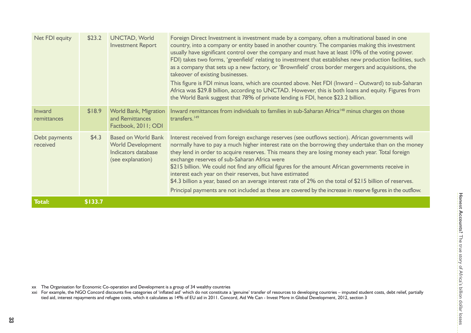| Net FDI equity            | \$23.2  | <b>UNCTAD, World</b><br><b>Investment Report</b>                                                   | Foreign Direct Investment is investment made by a company, often a multinational based in one<br>country, into a company or entity based in another country. The companies making this investment<br>usually have significant control over the company and must have at least 10% of the voting power.<br>FDI) takes two forms, 'greenfield' relating to investment that establishes new production facilities, such<br>as a company that sets up a new factory, or 'Brownfield' cross border mergers and acquisitions, the<br>takeover of existing businesses.<br>This figure is FDI minus loans, which are counted above. Net FDI (Inward - Outward) to sub-Saharan<br>Africa was \$29.8 billion, according to UNCTAD. However, this is both loans and equity. Figures from<br>the World Bank suggest that 78% of private lending is FDI, hence \$23.2 billion. |
|---------------------------|---------|----------------------------------------------------------------------------------------------------|-------------------------------------------------------------------------------------------------------------------------------------------------------------------------------------------------------------------------------------------------------------------------------------------------------------------------------------------------------------------------------------------------------------------------------------------------------------------------------------------------------------------------------------------------------------------------------------------------------------------------------------------------------------------------------------------------------------------------------------------------------------------------------------------------------------------------------------------------------------------|
| Inward<br>remittances     | \$18.9  | <b>World Bank, Migration</b><br>and Remittances<br>Factbook, 2011; ODI                             | Inward remittances from individuals to families in sub-Saharan Africa <sup>148</sup> minus charges on those<br>transfers. <sup>149</sup>                                                                                                                                                                                                                                                                                                                                                                                                                                                                                                                                                                                                                                                                                                                          |
| Debt payments<br>received | \$4.3   | <b>Based on World Bank</b><br><b>World Development</b><br>Indicators database<br>(see explanation) | Interest received from foreign exchange reserves (see outflows section). African governments will<br>normally have to pay a much higher interest rate on the borrowing they undertake than on the money<br>they lend in order to acquire reserves. This means they are losing money each year. Total foreign<br>exchange reserves of sub-Saharan Africa were<br>\$215 billion. We could not find any official figures for the amount African governments receive in<br>interest each year on their reserves, but have estimated<br>\$4.3 billion a year, based on an average interest rate of 2% on the total of \$215 billion of reserves.<br>Principal payments are not included as these are covered by the increase in reserve figures in the outflow.                                                                                                        |
| <b>Total:</b>             | \$133.7 |                                                                                                    |                                                                                                                                                                                                                                                                                                                                                                                                                                                                                                                                                                                                                                                                                                                                                                                                                                                                   |

xx The Organisation for Economic Co-operation and Development is a group of 34 wealthy countries<br>xxi For example, the NGO Concord discounts five categories of 'inflated aid' which do not constitute a 'genuine' transfer of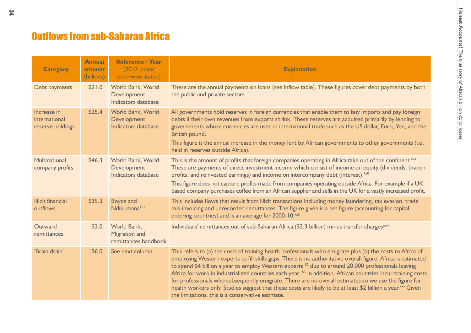# **Outflows from sub-Saharan Africa**

| <b>Category</b>                                  | <b>Annual</b><br>amount<br>(billions) | <b>Reference / Year</b><br>(2012 unless)<br>otherwise stated) | <b>Explanation</b>                                                                                                                                                                                                                                                                                                                                                                                                                                                                                                                                                                                                                                                                                                                                                  |
|--------------------------------------------------|---------------------------------------|---------------------------------------------------------------|---------------------------------------------------------------------------------------------------------------------------------------------------------------------------------------------------------------------------------------------------------------------------------------------------------------------------------------------------------------------------------------------------------------------------------------------------------------------------------------------------------------------------------------------------------------------------------------------------------------------------------------------------------------------------------------------------------------------------------------------------------------------|
| Debt payments                                    | \$21.0                                | World Bank, World<br>Development<br>Indicators database       | These are the annual payments on loans (see inflow table). These figures cover debt payments by both<br>the public and private sectors.                                                                                                                                                                                                                                                                                                                                                                                                                                                                                                                                                                                                                             |
| Increase in<br>international<br>reserve holdings | \$25.4                                | World Bank, World<br>Development<br>Indicators database       | All governments hold reserves in foreign currencies that enable them to buy imports and pay foreign<br>debts if their own revenues from exports shrink. These reserves are acquired primarily by lending to<br>governments whose currencies are used in international trade such as the US dollar, Euro, Yen, and the<br>British pound.<br>This figure is the annual increase in the money lent by African governments to other governments (i.e.<br>held in reserves outside Africa).                                                                                                                                                                                                                                                                              |
| Multinational<br>company profits                 | \$46.3                                | World Bank, World<br>Development<br>Indicators database       | This is the amount of profits that foreign companies operating in Africa take out of the continent. <sup>xxii</sup><br>These are payments of direct investment income which consist of income on equity (dividends, branch<br>profits, and reinvested earnings) and income on intercompany debt (interest). <sup>150</sup><br>This figure does not capture profits made from companies operating outside Africa. For example if a UK<br>based company purchases coffee from an African supplier and sells in the UK for a vastly increased profit.                                                                                                                                                                                                                  |
| <b>Illicit financial</b><br>outflows             | \$35.3                                | <b>Boyce and</b><br>Ndikumana <sup>151</sup>                  | This includes flows that result from illicit transactions including money laundering, tax evasion, trade<br>mis-invoicing and unrecorded remittances. The figure given is a net figure (accounting for capital<br>entering countries) and is an average for 2000-10. <sup>xxiii</sup>                                                                                                                                                                                                                                                                                                                                                                                                                                                                               |
| Outward<br>remittances                           | \$3.0                                 | World Bank,<br><b>Migration and</b><br>remittances handbook   | Individuals' remittances out of sub-Saharan Africa (\$3.3 billion) minus transfer charges <sup>xxiv</sup>                                                                                                                                                                                                                                                                                                                                                                                                                                                                                                                                                                                                                                                           |
| 'Brain drain'                                    | \$6.0                                 | See next column                                               | This refers to (a) the costs of training health professionals who emigrate plus (b) the costs to Africa of<br>employing Western experts to fill skills gaps. There is no authoritative overall figure. Africa is estimated<br>to spend \$4 billion a year to employ Western experts <sup>152</sup> due to around 20,000 professionals leaving<br>Africa for work in industrialized countries each year. <sup>153</sup> In addition, African countries incur training costs<br>for professionals who subsequently emigrate. There are no overall estimates so we use the figure for<br>health workers only. Studies suggest that these costs are likely to be at least \$2 billion a year. <sup>xxv</sup> Given<br>the limitations, this is a conservative estimate. |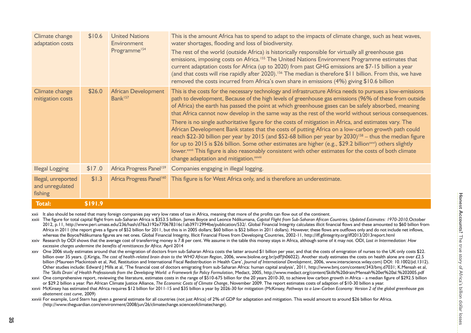| Climate change<br>adaptation costs                | \$10.6  | <b>United Nations</b><br><b>Environment</b><br>Programme <sup>154</sup> | This is the amount Africa has to spend to adapt to the impacts of climate change, such as heat waves,<br>water shortages, flooding and loss of biodiversity.<br>The rest of the world (outside Africa) is historically responsible for virtually all greenhouse gas<br>emissions, imposing costs on Africa. <sup>155</sup> The United Nations Environment Programme estimates that<br>current adaptation costs for Africa (up to 2020) from past GHG emissions are \$7-15 billion a year<br>(and that costs will rise rapidly after 2020). <sup>156</sup> The median is therefore \$11 billion. From this, we have<br>removed the costs incurred from Africa's own share in emissions (4%) giving \$10.6 billion                                                                                                                                                                                                                                                                                                                                                                       |
|---------------------------------------------------|---------|-------------------------------------------------------------------------|----------------------------------------------------------------------------------------------------------------------------------------------------------------------------------------------------------------------------------------------------------------------------------------------------------------------------------------------------------------------------------------------------------------------------------------------------------------------------------------------------------------------------------------------------------------------------------------------------------------------------------------------------------------------------------------------------------------------------------------------------------------------------------------------------------------------------------------------------------------------------------------------------------------------------------------------------------------------------------------------------------------------------------------------------------------------------------------|
| Climate change<br>mitigation costs                | \$26.0  | <b>African Development</b><br>Bank <sup>157</sup>                       | This is the costs for the necessary technology and infrastructure Africa needs to pursues a low-emissions<br>path to development, Because of the high levels of greenhouse gas emissions (96% of these from outside<br>of Africa) the earth has passed the point at which greenhouse gases can be safely absorbed, meaning<br>that Africa cannot now develop in the same way as the rest of the world without serious consequences.<br>There is no single authoritative figure for the costs of mitigation in Africa, and estimates vary. The<br>African Development Bank states that the costs of putting Africa on a low-carbon growth path could<br>reach \$22-30 billion per year by 2015 (and \$52-68 billion per year by 2030) <sup>158</sup> – thus the median figure<br>for up to 2015 is \$26 billion. Some other estimates are higher (e.g., \$29.2 billion <sup>xxvi</sup> ) others slightly<br>lower. <sup>xxvii</sup> This figure is also reasonably consistent with other estimates for the costs of both climate<br>change adaptation and mitigation. <sup>xxviii</sup> |
| <b>Illegal Logging</b>                            | \$17.0  | Africa Progress Panel <sup>159</sup>                                    | Companies engaging in illegal logging.                                                                                                                                                                                                                                                                                                                                                                                                                                                                                                                                                                                                                                                                                                                                                                                                                                                                                                                                                                                                                                                 |
| Illegal, unreported<br>and unregulated<br>fishing | \$1.3   | Africa Progress Panel <sup>160</sup>                                    | This figure is for West Africa only, and is therefore an underestimate.                                                                                                                                                                                                                                                                                                                                                                                                                                                                                                                                                                                                                                                                                                                                                                                                                                                                                                                                                                                                                |
| <b>Total:</b>                                     | \$191.9 |                                                                         |                                                                                                                                                                                                                                                                                                                                                                                                                                                                                                                                                                                                                                                                                                                                                                                                                                                                                                                                                                                                                                                                                        |

xxii It also should be noted that many foreign companies pay very low rates of tax in Africa, meaning that more of the profits can flow out of the continent.

 xxiii The figure for total capital flight from sub-Saharan Africa is \$353.5 billion. James Boyce and Leonce Ndikumana, *Capital Flight from Sub-Saharan African Countries, Updated Estimates: 1970-2010,*October 2012, p.11, http://www.peri.umass.edu/236/hash/d76a3192e770678316c1ab39712994be/publication/532/. Global Financial Integrity calculates illicit financial flows and these amounted to \$60 billion from Africa in 2011 (the report gives a figure of \$52 billion for 2011, but this is in 2005 dollars; \$60 billion is \$52 billion in 2011 dollars). However, these flows are outflows only and do not include net inflows, whereas the Boyce/Ndikumana figures are net ones. Global Financial Integrity, Illicit Financial Flows from Developing Countries, 2002-11, http://iff.gfintegrity.org/iff2013/2013report.html

Research by ODI shows that the average cost of transferring money is 7.8 per cent. We assume in the table this money stays in Africa, although some of it may not. ODI, Lost in Intermediation: How *excessive charges undermine the benefits of remittances for Africa,* April 2014

xxv One 2006 study estimates around that the emigration of doctors from sub-Saharan Africa costs the latter around \$1 billion per year, and that the costs of emigration of nurses to the UK only costs \$22. billion over 35 years. (J.Kirigia, *The cost of health-related brain drain to the WHO African Region*, 2006, www.bioline.org.br/pdf?jh06022). Another study estimates the costs on health alone are over £2.5 billion (Maureen Mackintosh et al, 'Aid, Restitution and International Fiscal Redistribution in Health Care', *Journal of International Development*, 2006, www.interscience.wiley.com) DOI: 10.1002/jid.1312). Other studies include: Edward | Mills at al, 'The financial cost of doctors emigrating from sub-Saharan Africa: human capital analysis', 2011, http://www.bmj.com/content/343/bmj.d7031; K.Mensah et al, *The 'Skills Drain' of Health Professionals from the Developing World: a Framework for Policy Formulation*, Medact, 2005, http://www.medact.org/content/Skills%20drain/Mensah%20et%20al.%202005.pdf

 xxvi One comprehensive report, reviewing the literature, estimates costs in the range of \$510-675 billion for the 20 years 2010-30, to achieve low carbon growth in Africa – a median figure of \$292.5 billion or \$29.2 billion a year. Pan African Climate Justice Alliance, *The Economic Costs of Climate Change*, November 2009. The report estimates costs of adaption of \$10-30 billion a year.

 xxvii McKinsey has estimated that Africa requires \$12 billion for 2011-15 and \$35 billion a year by 2026-30 for mitigation (McKinsey, *Pathways to a Low-Carbon Economy: Version 2 of the global greenhouse gas abatement cost curve*, 2009)

 xxviii For example, Lord Stern has given a general estimate for all countries (not just Africa) of 2% of GDP for adaptation and mitigation. This would amount to around \$26 billion for Africa. (http://www.theguardian.com/environment/2008/jun/26/climatechange.scienceofclimatechange).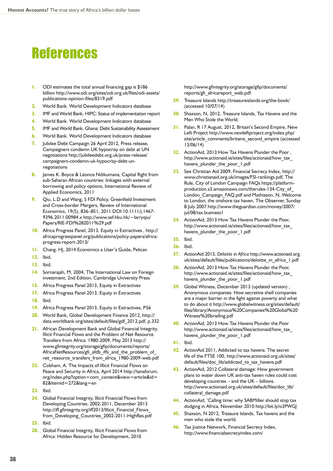# **References**

- **1.** ODI estimates the total annual financing gap is \$186 billion http://www.odi.org/sites/odi.org.uk/files/odi-assets/ publications-opinion-files/8319.pdf
- **2.** World Bank. World Development Indicators database
- **3.** IMF and World Bank. HIPC: Status of implementation report
- **4.** World Bank. World Development Indicators database
- **5.** IMF and World Bank. Ghana: Debt Sustainability Assessment
- **6.** World Bank. World Development Indicators database
- **7.** [Jubilee Debt Campaign](http://jubileedebt.org.uk/press-release/campaigners-condemn-uk-hypocrisy-debt-un-negotiations) 26 April 2012, Press release, Campaigners condemn UK hypocrisy on debt at UN negotiations http://jubileedebt.org.uk/press-release/ campaigners-condemn-uk-hypocrisy-debt-unnegotiations
- **8.** James K. Boyce & Léonce Ndikumana, Capital flight from sub-Saharan African countries: linkages with external borrowing and policy options, International Review of Applied Economics, 2011
- **9.** Qiu, L.D and Wang, S FDI Policy, Greenfield Investment and Cross-border Mergers, Review of International Economics, 19(5), 836–851, 2011 DOI:10.1111/j.1467- 9396.2011.00984.x http://www.sef.hku.hk/~larryqiu/ Papers/RIE-FDI%282011%29.pdf
- **10.** Africa Progress Panel, 2013, Equity in Extractives , http:// africaprogresspanel.org/publications/policy-papers/africaprogress-report-2013/
- **11.** Chang. HJ, 2014 Economics a User's Guide, Pelican
- **12.** Ibid.
- **13.** Ibid.
- **14.** Sornarajah, M, 2004, The International Law on Foreign investment, 2nd Edition, Cambridge University Press
- **15.** Africa Progress Panel 2013, Equity in Extractives
- **17.** Africa Progress Panel 2013, Equity in Extractives
- **18.** Ibid.
- **19.** Africa Progress Panel 2013, Equity in Extractives, P56
- **20.** World Bank, Global Development Finance 2012, http:// data.worldbank.org/sites/default/files/gdf\_2012.pdf, p.332
- **21.** African Development Bank and Global Financial Integrity, Illicit Financial Flows and the Problem of Net Resource Transfers from Africa: 1980-2009, May 2013 http:// www.gfintegrity.org/storage/gfip/documents/reports/ AfricaNetResources/gfi\_afdb\_iffs\_and\_the\_problem\_of net resource transfers from africa 1980-2009-web.pdf
- **22.** Cobham, A. The Impacts of Illicit Financial Flows on Peace and Security in Africa, April 2014 [http://tanaforum.](http://tanaforum.org/index.php?option=com_content&view=article&id=82&Itemid=272&lang=en) [org/index.php?option=com\\_content&view=article&id=](http://tanaforum.org/index.php?option=com_content&view=article&id=82&Itemid=272&lang=en) [82&Itemid=272&lang=en](http://tanaforum.org/index.php?option=com_content&view=article&id=82&Itemid=272&lang=en)
- **23.** Ibid.
- **24.** Global Financial Integrity, Illicit Financial Flows from Developing Countries: 2002-2011, December 2013 [http://iff.gfintegrity.org/iff2013/Illicit\\_Financial\\_Flows\\_](http://iff.gfintegrity.org/iff2013/Illicit_Financial_Flows_from_Developing_Countries_2002-2011-HighRes.pdf) from Developing Countries 2002-2011-HighRes.pdf
- **25.** Ibid.
- **28.** Global Financial Integrity, Illicit Financial Flows from Africa: Hidden Resource for Development, 2010

http://www.gfintegrity.org/storage/gfip/documents/ reports/gfi\_africareport\_web.pdf

- **29.** Treasure Islands http://treasureislands.org/the-book/ (accessed 10/07/14)
- **30.** Shaxson, N, 2012, Treasure Islands, Tax Havens and the Men Who Stole the World.
- **31.** Palan, R 17 August, 2012, Britain's Second Empire, New Left Project [http://www.newleftproject.org/index.php/](http://www.newleftproject.org/index.php/site/article_comments/britains_second_empire) [site/article\\_comments/britains\\_second\\_empire](http://www.newleftproject.org/index.php/site/article_comments/britains_second_empire) (accessed 13/06/14)
- **32.** ActionAid, 2013 How Tax Havens Plunder the Poor , http://www.actionaid.ie/sites/files/actionaid/how\_tax\_ havens\_plunder\_the\_poor\_1.pdf
- **33.** See Christian Aid 2009, Financial Secrecy Index, [http://](http://www.christianaid.org.uk/images/FSI-rankings.pdf) [www.christianaid.org.uk/images/FSI-rankings.pdf,](http://www.christianaid.org.uk/images/FSI-rankings.pdf) The Rule, City of London Campaign FAQs [https://platform](https://platform-production.s3.amazonaws.com/therules-134-City_of_London_Campaign_FAQ.pdf)[production.s3.amazonaws.com/therules-134-City\\_of\\_](https://platform-production.s3.amazonaws.com/therules-134-City_of_London_Campaign_FAQ.pdf) [London\\_Campaign\\_FAQ.pdf](https://platform-production.s3.amazonaws.com/therules-134-City_of_London_Campaign_FAQ.pdf) and Mathiason, N, Welcome to London, the onshore tax haven, [The Observer,](http://observer.guardian.co.uk) Sunday 8 July 2007 http://www.theguardian.com/money/2007/ jul/08/tax.business1
- **34.** ActionAid, 2013 How Tax Havens Plunder the Poor, http://www.actionaid.ie/sites/files/actionaid/how\_tax\_ havens plunder the poor 1.pdf
- **35.** Ibid.
- **36.** Ibid.
- **37.** ActionAid 2013, *Deloitte in Africa* http://www.actionaid.org. uk/sites/default/files/publications/deloitte\_in\_africa\_1.pdf
- **38.** ActionAid, 2013 How Tax Havens Plunder the Poor, http://www.actionaid.ie/sites/files/actionaid/how\_tax\_ havens\_plunder\_the\_poor\_1.pdf
- **39.** Global Witness, December 2013 (updated version) , Anonymous companies: How secretive shell companies are a major barrier in the fight against poverty and what to do about it http://www.globalwitness.org/sites/default/ files/library/Anonymous%20Companies%20Global%20 Witness%20briefing.pdf
- **40.** ActionAid, 2013 How Tax Havens Plunder the Poor http://www.actionaid.ie/sites/files/actionaid/how\_tax\_ havens\_plunder\_the\_poor\_1.pdf
- **41.** Ibid.
- **42.** ActionAid 2011, Addicted to tax havens: The secret life of the FTSE 100, http://www.actionaid.org.uk/sites/ default/files/doc\_lib/addicted\_to\_tax\_havens.pdf
- **43.** ActionAid, 2012 Collateral damage: How government plans to water down UK anti-tax haven rules could cost developing countries – and the UK – billions. http://www.actionaid.org.uk/sites/default/files/doc\_lib/ collateral\_damage.pdf
- **44.** ActionAid, 'Calling time: why SABMiller should stop tax dodging in Africa, November 2010 http://bit.ly/o3PWGJ
- **45.** Shaxson, N 2012, Treasure Islands, Tax havens and the men who stole the world.
- **46.** Tax Justice Network, Financial Secrecy Index, http://www.financialsecrecyindex.com/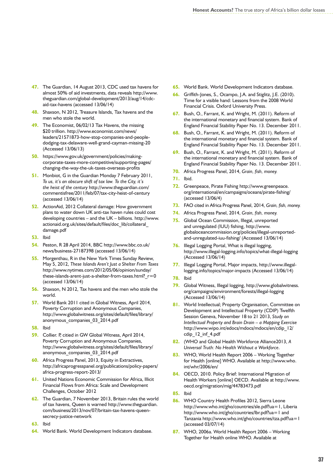- **47.** The Guardian, 14 August 2013, CDC used tax havens for almost 50% of aid investments, data reveals [http://www.](http://www.theguardian.com/global-development/2013/aug/14/cdc-aid-tax-havens) [theguardian.com/global-development/2013/aug/14/cdc](http://www.theguardian.com/global-development/2013/aug/14/cdc-aid-tax-havens)[aid-tax-havens](http://www.theguardian.com/global-development/2013/aug/14/cdc-aid-tax-havens) (accessed 13/06/14)
- **48.** Shaxson, N 2012, Treasure Islands, Tax havens and the men who stole the world.
- **49.** The Economist, 06/02/13 Tax Havens, the missing \$20 trillion. [http://www.economist.com/news/](http://www.economist.com/news/leaders/21571873-how-stop-companies-and-people-dodging-tax-delaware-well-grand-cayman-missing-20) [leaders/21571873-how-stop-companies-and-people](http://www.economist.com/news/leaders/21571873-how-stop-companies-and-people-dodging-tax-delaware-well-grand-cayman-missing-20)[dodging-tax-delaware-well-grand-cayman-missing-20](http://www.economist.com/news/leaders/21571873-how-stop-companies-and-people-dodging-tax-delaware-well-grand-cayman-missing-20)  (Accessed 13/06/13)
- **50.** https://www.gov.uk/government/policies/makingcorporate-taxes-more-competitive/supporting-pages/ changing-the-way-the-uk-taxes-overseas-profits
- **51.** Monbiot, G in the Guardian Monday 7 February 2011, *To us, it's an obscure shift of tax law. To the City, it's the heist of the century* [http://www.theguardian.com/](http://www.theguardian.com/commentisfree/2011/feb/07/tax-city-heist-of-century) [commentisfree/2011/feb/07/tax-city-heist-of-century](http://www.theguardian.com/commentisfree/2011/feb/07/tax-city-heist-of-century)  (accessed 13/06/14)
- **52.** ActionAid, 2012 Collateral damage: How government plans to water down UK anti-tax haven rules could cost developing countries – and the UK – billions. http://www. actionaid.org.uk/sites/default/files/doc\_lib/collateral\_ damage.pdf
- **53.** Ibid
- **54.** Peston, R 28 April 2014, BBC [http://www.bbc.co.uk/](http://www.bbc.co.uk/news/business-27187398) [news/business-27187398](http://www.bbc.co.uk/news/business-27187398) (accessed 13/06/14)
- **55.** Morgenthau, R in the New York Times Sunday Review, May 5, 2012, *These Islands Aren't Just a Shelter From Taxes* [http://www.nytimes.com/2012/05/06/opinion/sunday/](http://www.nytimes.com/2012/05/06/opinion/sunday/these-islands-arent-just-a-shelter-from-taxes.html?_r=0) these-islands-arent-just-a-shelter-from-taxes.html?  $r=0$ (accessed 13/06/14)
- **56.** Shaxson, N 2012, Tax havens and the men who stole the world.
- **57.** World Bank 2011 cited in Global Witness, April 2014, Poverty Corruption and Anonymous Companies, http://www.globalwitness.org/sites/default/files/library/ anonymous companies 03 2014.pdf
- **58.** Ibid
- **59.** Collier. P, citied in GW Global Witness, April 2014, Poverty Corruption and Anonymous Companies, http://www.globalwitness.org/sites/default/files/library/ anonymous\_companies\_03\_2014.pdf
- **60.** Africa Progress Panel, 2013, Equity in Extractives, http://africaprogresspanel.org/publications/policy-papers/ africa-progress-report-2013/
- **61.** United Nations Economic Commission for Africa, Illicit Financial Flows from Africa: Scale and Development Challenges, October 2012
- **62.** The Guardian, 7 November 2013, Britain rules the world of tax havens, Queen is warned http://www.theguardian. com/business/2013/nov/07/britain-tax-havens-queensecrecy-justice-network
- **63.** Ibid
- **64.** World Bank. World Development Indicators database.
- **65.** World Bank. World Development Indicators database.
- **66.** Griffith-Jones, S., Ocampo, J.A. and Stiglitz, J.E. (2010). Time for a visible hand: Lessons from the 2008 World Financial Crisis. Oxford University Press.
- **67.** Bush, O., Farrant, K. and Wright, M. (2011). Reform of the international monetary and financial system. Bank of England Financial Stability Paper No. 13. December 2011.
- **68.** Bush, O., Farrant, K. and Wright, M. (2011). Reform of the international monetary and financial system. Bank of England Financial Stability Paper No. 13. December 2011.
- **69.** Bush, O., Farrant, K. and Wright, M. (2011). Reform of the international monetary and financial system. Bank of England Financial Stability Paper No. 13. December 2011.
- **70.** Africa Progress Panel, 2014, *Grain, fish, money.*
- **71.** Ibid.
- **72.** Greenpeace, Pirate Fishing [http://www.greenpeace.](http://www.greenpeace.org/international/en/campaigns/oceans/pirate-fishing/) [org/international/en/campaigns/oceans/pirate-fishing/](http://www.greenpeace.org/international/en/campaigns/oceans/pirate-fishing/)  (accessed 13/06/4)
- **73.** FAO cited in Africa Progress Panel, 2014, *Grain, fish, money.*
- **74.** Africa Progress Panel, 2014, *Grain, fish, money.*
- **75.** Global Ocean Commission, Illegal, unreported and unregulated (IUU) fishing, [http://www.](http://www.globaloceancommission.org/policies/illegal-unreported-and-unregulated-iuu-fishing/) [globaloceancommission.org/policies/illegal-unreported](http://www.globaloceancommission.org/policies/illegal-unreported-and-unregulated-iuu-fishing/)[and-unregulated-iuu-fishing/](http://www.globaloceancommission.org/policies/illegal-unreported-and-unregulated-iuu-fishing/) (Accessed 13/06/14)
- **76.** Illegal Logging Portal, What is illegal logging, <http://www.illegal-logging.info/topics/what-illegal-logging> (Accessed 13/06/14)
- **77.** Illegal Logging Portal, Major impacts, [http://www.illegal](http://www.illegal-logging.info/topics/major-impacts)[logging.info/topics/major-impacts](http://www.illegal-logging.info/topics/major-impacts) (Accessed 13/06/14)
- **78.** Ibid
- **79.** Global Witness, Illegal logging, [http://www.globalwitness.](http://www.globalwitness.org/campaigns/environment/forests/illegal-logging) [org/campaigns/environment/forests/illegal-logging](http://www.globalwitness.org/campaigns/environment/forests/illegal-logging)  (Accessed 13/06/14)
- **81.** World Intellectual; Property Organisation, Committee on Development and Intellectual Property (CDIP) Twelfth Session Geneva, November 18 to 21 2013, *Study on Intellectual Property and Brain Drain – a Mapping Exercise* http://www.wipo.int/edocs/mdocs/mdocs/en/cdip\_12/ cdip 12 inf 4.pdf
- **82.** (WHO and Global Health Workforce Alliance2013, *A Universal Truth: No Health Without a Workforce*.
- **83.** WHO, World Health Report 2006 Working Together for Health [online] WHO. Available at http://www.who. int/whr/2006/en/
- **84.** OECD, 2010. Policy Brief: International Migration of Health Workers [online] OECD. Available at http://www. oecd.org/migration/mig/44783473.pdf
- **85.** Ibid
- **86.** WHO Country Health Profiles 2012, Sierra Leone <http://www.who.int/gho/countries/sle.pdf?ua=1>, Liberia <http://www.who.int/gho/countries/lbr.pdf?ua=1> and Tanzania<http://www.who.int/gho/countries/tza.pdf?ua=1> (accessed 03/07/14)
- **87.** WHO, 2006a. World Health Report 2006 Working Together for Health online WHO. Available at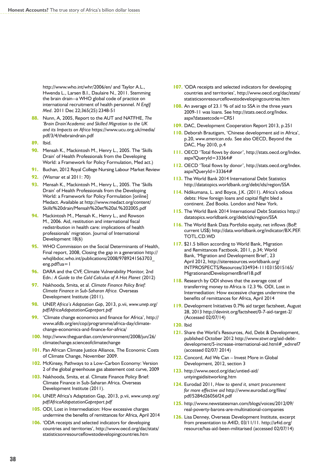<http://www.who.int/whr/2006/en/> and Taylor A.L., Hwenda L., Larsen B.I., Daulaire N., 2011. Stemming the brain drain--a WHO global code of practice on international recruitment of health personnel. *N EnglJ Med*. 2011 Dec 22;365(25):2348-51

- **88.** Nunn, A, 2005, Report to the AUT and NATFHE, *The 'Brain Drain'Academic and Skilled Migration to the UK and its Impacts on Africa* https://www.ucu.org.uk/media/ pdf/3/4/thebraindrain.pdf
- **89.** Ibid.
- **90.** Mensah K., Mackintosh M., Henry L., 2005. The 'Skills Drain' of Health Professionals from the Developing World: a Framework for Policy Formulation, Med act.)
- **91.** Buchan, 2012 Royal College Nursing Labour Market Review
- **92.** (Wismar et al 2011: 70)
- **93.** Mensah K., Mackintosh M., Henry L., 2005. The 'Skills Drain' of Health Professionals from the Developing World: a Framework for Policy Formulation [online] Medact. Available at http://www.medact.org/content/ Skills%20drain/Mensah%20et%20al.%202005.pdf
- **94.** Mackintosh M., Mensah K., Henry L., and Rowson M., 2006. Aid, restitution and international fiscal redistribution in health care: implications of health professionals' migration. Journal of International Development 18(6)
- **95.** WHO Commission on the Social Determinants of Health, Final report, 2008, Closing the gap in a generation http:// whqlibdoc.who.int/publications/2008/9789241563703\_ eng.pdf?ua=1
- **96.** DARA and the CVF, Climate Vulnerability Monitor, 2nd Edn.: *A Guide to the Cold Calculus of A Hot Planet* (2012)
- **97.** Nakhooda, Smita, et al. *Climate Finance Policy Brief: Climate Finance in Sub-Saharan Africa.* Overseas Development Institute (2011).
- **98.** UNEP, *Africa's Adaptation Gap*, 2013, p.vii, *www.unep.org/ pdf/AfricaAdapatationGapreport.pdf*
- **99.** 'Climate change economics and finance for Africa', http:// www.afdb.org/en/cop/programme/africa-day/climatechange-economics-and-finance-for-africa/
- **100.** http://www.theguardian.com/environment/2008/jun/26/ climatechange.scienceofclimatechange
- **101. Pan African Climate Justice Alliance, The Economic Costs** of Climate Change, November 2009.
- **102.** McKinsey, Pathways to a Low-Carbon Economy: Version 2 of the global greenhouse gas abatement cost curve, 2009
- **103.** Nakhooda, Smita, et al. Climate Finance Policy Brief: Climate Finance in Sub-Saharan Africa. Overseas Development Institute (2011).
- **104.** UNEP, Africa's Adaptation Gap, 2013, p.vii, *www.unep.org/ pdf/AfricaAdapatationGapreport.pdf*
- **105.** ODI, Lost in Intermediation: How excessive charges undermine the benefits of remittances for Africa, April 2014
- **106. 'ODA** receipts and selected indicators for developing countries and territories', http://www.oecd.org/dac/stats/ statisticsonresourceflowstodevelopingcountries.htm
- **107.** 'ODA receipts and selected indicators for developing countries and territories', http://www.oecd.org/dac/stats/ statisticsonresourceflowstodevelopingcountries.htm
- **108.** An average of 23.1 % of aid to SSA in the three years 2009-11 was loans. See http://stats.oecd.org/Index. aspx?datasetcode=CRS1
- **109.** DAC, Development Cooperation Report 2013, p.251
- **110.** Deborah Brautigam, 'Chinese development aid in Africa', p.20, *www.american.edu.* See also OECD, Beyond the DAC, May 2010, p.4
- **111.** OECD 'Total flows by donor', http://stats.oecd.org/Index. aspx?QueryId=33364#
- **112.** OECD 'Total flows by donor', http://stats.oecd.org/Index. aspx?QueryId=33364#
- **113.** The World Bank 2014 International Debt Statistics http://datatopics.worldbank.org/debt/ids/region/SSA
- **114.** Ndikumana, L. and Boyce, J.K. (2011). Africa's odious debts: How foreign loans and capital flight bled a continent. Zed Books. London and New York.
- **115.** The World Bank 2014 International Debt Statistics http:// datatopics.worldbank.org/debt/ids/region/SSA
- **116.** The World Bank Data Portfolio equity, net inflows (BoP, current US\$) http://data.worldbank.org/indicator/BX.PEF. TOTL.CD.WD
- **117.** \$21.5 billion according to World Bank, Migration and Remittances Factbook, 2011, p.34; World Bank, 'Migration and Development Brief', 23 April 2012, http://siteresources.worldbank.org/ INTPROSPECTS/Resources/334934-1110315015165/ MigrationandDevelopmentBrief18.pdf
- **118.** Research by ODI shows that the average cost of transferring money to Africa is 12.3 %. ODI, Lost in Intermediation: How excessive charges undermine the benefits of remittances for Africa, April 2014
- **119.** Development Initiatives 0.7% aid target factsheet, August 28, 2013<http://devinit.org/factsheet/0-7-aid-target-2/> (Accessed 02/07/14)
- **120.** Ibid
- **121.** Share the World's Resources, Aid, Debt & Development, published October 2012 h[ttp://www.stwr.org/aid-debt](http://www.stwr.org/aid-debt-development/5-increase-international-aid.html#_ednref7)development/5-increase-international-aid.html#\_ednref7 (accessed 02/07/ 2014)
- **122.** Concord, Aid We Can Invest More in Global Development, 2012, section 3
- **123.** http://www.oecd.org/dac/untied-aid/ untyingaidisitworking.htm
- **124.** Eurodad 2011, *How to spend it, smart procurement for more effective aid* http://www.eurodad.org/files/ pdf/5284d26056f24.pdf
- **125.** h[ttp://www.newstatesman.com/blogs/voices/2012/09/](http://www.newstatesman.com/blogs/voices/2012/09/real-poverty-barons-are-multinational-companies) [real-poverty-barons-are-multinational-companies](http://www.newstatesman.com/blogs/voices/2012/09/real-poverty-barons-are-multinational-companies)
- **126.** Lisa Denney, Overseas Development Institute, excerpt from presentation to A4ID, 03/11/11. [http://a4id.org/](http://a4id.org/resource/has-aid-been-militarised) [resource/has-aid-been-militarised \(](http://a4id.org/resource/has-aid-been-militarised)accessed 02/07/14)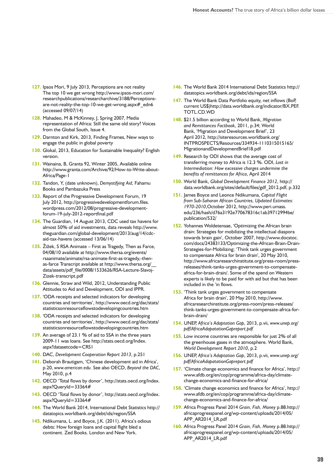- **127.** Ipsos Mori, 9 July 2013, Perceptions are not reality The top 10 we get wrong http://www.ipsos-mori.com/ researchpublications/researcharchive/3188/Perceptionsare-not-reality-the-top-10-we-get-wrong.aspx#\_edn6 (accessed 09/07/14)
- **128.** Mahadeo, M & McKinney, J, Spring 2007, Media representation of Africa: Still the same old story? Voices from the Global South, Issue 4.
- **129.** Darnton and Kirk, 2013, Finding Frames, New ways to engage the public in global poverty
- **130.** Glokal, 2013, Education for Sustainable Inequality? English version.
- **131.** Wainaina, B, Granta 92, Winter 2005, Available online http://www.granta.com/Archive/92/How-to-Write-about-Africa/Page-1
- **132.** Tandon, Y, (date unknown), *Demystifying Aid*, Fahamu Books and Pambazuka Press
- **133.** Report of the Progressive Development Forum, 19 July 2012, http://progressivedevelopmentforum.files. wordpress.com/2012/08/progressive-developmentforum-19-july-2012-reportfinal.pdf
- **134.** The Guardian, 14 August 2013, CDC used tax havens for almost 50% of aid investments, data reveals h[ttp://www.](http://www.theguardian.com/global-development/2013/aug/14/cdc-aid-tax-havens) [theguardian.com/global-development/2013/aug/14/cdc](http://www.theguardian.com/global-development/2013/aug/14/cdc-aid-tax-havens)[aid-tax-havens](http://www.theguardian.com/global-development/2013/aug/14/cdc-aid-tax-havens) (accessed 13/06/14)
- **135.** Žižek, S RSA Animate First as Tragedy, Then as Farce, 04/08/10 available at http://www.thersa.org/events/ rsaanimate/animate/rsa-animate-first-as-tragedy,-thenas-farce Transcript available at http://www.thersa.org/\_\_ data/assets/pdf\_file/0008/1533626/RSA-Lecture-Slavoj-Zizek-transcript.pdf
- **136.** Glennie, Straw and Wild, 2012, Understanding Public Attitudes to Aid and Development, ODI and IPPR.
- **137.** 'ODA receipts and selected indicators for developing countries and territories', http://www.oecd.org/dac/stats/ statisticsonresourceflowstodevelopingcountries.htm
- **138.** 'ODA receipts and selected indicators for developing countries and territories', http://www.oecd.org/dac/stats/ statisticsonresourceflowstodevelopingcountries.htm
- 139. An average of 23.1 % of aid to SSA in the three years 2009-11 was loans. See http://stats.oecd.org/Index. aspx?datasetcode=CRS1
- **140.** DAC, *Development Cooperation Report 2013*, p.251
- **141.** Deborah Brautigam, 'Chinese development aid in Africa', p.20, *www.american.edu.* See also OECD, *Beyond the DAC*, May 2010, p.4
- **142.** OECD 'Total flows by donor', http://stats.oecd.org/Index. aspx?QueryId=33364#
- **143.** OECD 'Total flows by donor', http://stats.oecd.org/Index. aspx?QueryId=33364#
- **144.** The World Bank 2014, International Debt Statistics http:// datatopics.worldbank.org/debt/ids/region/SSA
- **145.** Ndikumana, L. and Boyce, J.K. (2011). Africa's odious debts: How foreign loans and capital flight bled a continent. Zed Books. London and New York.
- **146.** The World Bank 2014 International Debt Statistics http:// datatopics.worldbank.org/debt/ids/region/SSA
- **147.** The World Bank Data Portfolio equity, net inflows (BoP, current US\$)http://data.worldbank.org/indicator/BX.PEF. TOTL.CD.WD
- **148.** \$21.5 billion according to World Bank, *Migration and Remittances Factbook*, 2011, p.34; World Bank, 'Migration and Development Brief', 23 April 2012, http://siteresources.worldbank.org/ INTPROSPECTS/Resources/334934-1110315015165/ MigrationandDevelopmentBrief18.pdf
- **149.** Research by ODI shows that the average cost of transferring money to Africa is 12.3 %. ODI, *Lost in Intermediation: How excessive charges undermine the benefits of remittances for Africa*, April 2014
- **150.** World Bank, *Global Development Finance 2012*, http:// data.worldbank.org/sites/default/files/gdf\_2012.pdf, p.332
- **151.** James Boyce and Leonce Ndikumana, *Capital Flight from Sub-Saharan African Countries, Updated Estimates: 1970-2010*,October 2012, http://www.peri.umass. edu/236/hash/d76a3192e770678316c1ab39712994be/ publication/532/
- **152.** Yohannes Woldetensae, 'Optimizing the African brain drain: Strategies for mobilizing the intellectual diaspora towards brain gain', October 2007, http://www.docstoc. com/docs/24383133/Optimizing-the-African-Brain-Drain-Strategies-for-Mobilizing; 'Think tank urges government to compensate Africa for brain drain', 20 May 2010, http://www.africaresearchinstitute.org/press-room/pressreleases/think-tanks-urges-government-to-compensateafrica-for-brain-drain/. Some of the spend on Western experts is likely to be paid for with aid but that has been included in the 'in flows.
- **153.** 'Think tank urges government to compensate Africa for brain drain', 20 May 2010, http://www. africaresearchinstitute.org/press-room/press-releases/ think-tanks-urges-government-to-compensate-africa-forbrain-drain/
- **154.** UNEP, *Africa's Adaptation Gap*, 2013, p.vii, *www.unep.org/ pdf/AfricaAdapatationGapreport.pdf*
- **155.** Low income countries are responsible for just 2% of all the greenhouse gases in the atmosphere. World Bank, *World Development Report 2010*, p.2
- **156.** UNEP, *Africa's Adaptation Gap*, 2013, p.vii, *www.unep.org/ pdf/AfricaAdapatationGapreport.pdf*
- **157.** 'Climate change economics and finance for Africa', http:// www.afdb.org/en/cop/programme/africa-day/climatechange-economics-and-finance-for-africa/
- **158.** 'Climate change economics and finance for Africa', http:// www.afdb.org/en/cop/programme/africa-day/climatechange-economics-and-finance-for-africa/
- **159.** Africa Progress Panel 2014 *Grain, Fish, Money* p.88.http:// africaprogresspanel.org/wp-content/uploads/2014/05/ APP\_AR2014\_LR.pdf
- **160.** Africa Progress Panel 2014 *Grain, Fish, Money* p.88.http:// africaprogresspanel.org/wp-content/uploads/2014/05/ APP\_AR2014\_LR.pdf